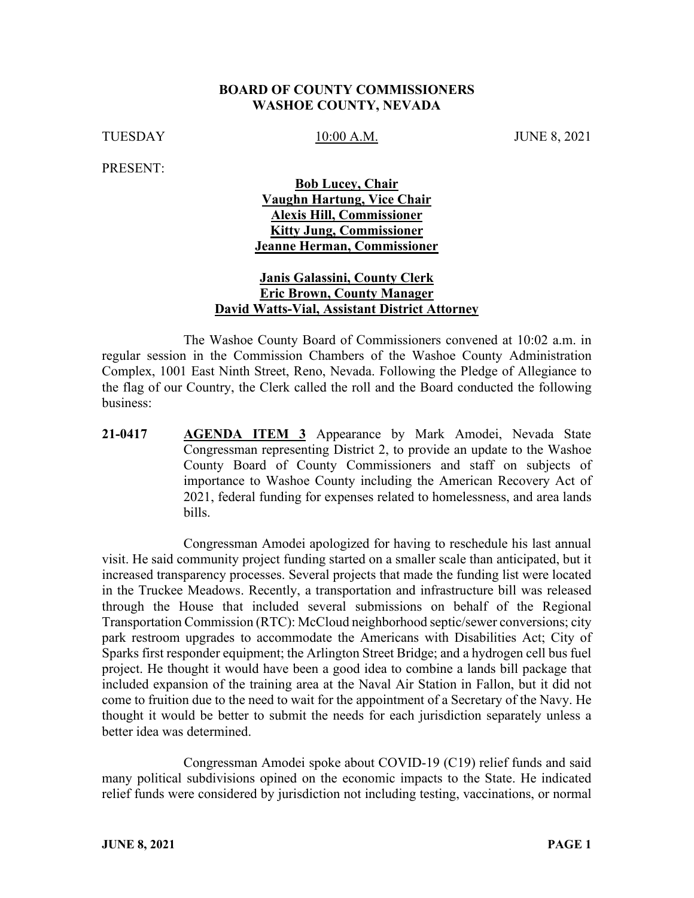#### **BOARD OF COUNTY COMMISSIONERS WASHOE COUNTY, NEVADA**

TUESDAY 10:00 A.M. JUNE 8, 2021

PRESENT:

### **Bob Lucey, Chair Vaughn Hartung, Vice Chair Alexis Hill, Commissioner Kitty Jung, Commissioner Jeanne Herman, Commissioner**

### **Janis Galassini, County Clerk Eric Brown, County Manager David Watts-Vial, Assistant District Attorney**

The Washoe County Board of Commissioners convened at 10:02 a.m. in regular session in the Commission Chambers of the Washoe County Administration Complex, 1001 East Ninth Street, Reno, Nevada. Following the Pledge of Allegiance to the flag of our Country, the Clerk called the roll and the Board conducted the following business:

**21-0417 AGENDA ITEM 3** Appearance by Mark Amodei, Nevada State Congressman representing District 2, to provide an update to the Washoe County Board of County Commissioners and staff on subjects of importance to Washoe County including the American Recovery Act of 2021, federal funding for expenses related to homelessness, and area lands bills.

Congressman Amodei apologized for having to reschedule his last annual visit. He said community project funding started on a smaller scale than anticipated, but it increased transparency processes. Several projects that made the funding list were located in the Truckee Meadows. Recently, a transportation and infrastructure bill was released through the House that included several submissions on behalf of the Regional Transportation Commission (RTC): McCloud neighborhood septic/sewer conversions; city park restroom upgrades to accommodate the Americans with Disabilities Act; City of Sparks first responder equipment; the Arlington Street Bridge; and a hydrogen cell bus fuel project. He thought it would have been a good idea to combine a lands bill package that included expansion of the training area at the Naval Air Station in Fallon, but it did not come to fruition due to the need to wait for the appointment of a Secretary of the Navy. He thought it would be better to submit the needs for each jurisdiction separately unless a better idea was determined.

Congressman Amodei spoke about COVID-19 (C19) relief funds and said many political subdivisions opined on the economic impacts to the State. He indicated relief funds were considered by jurisdiction not including testing, vaccinations, or normal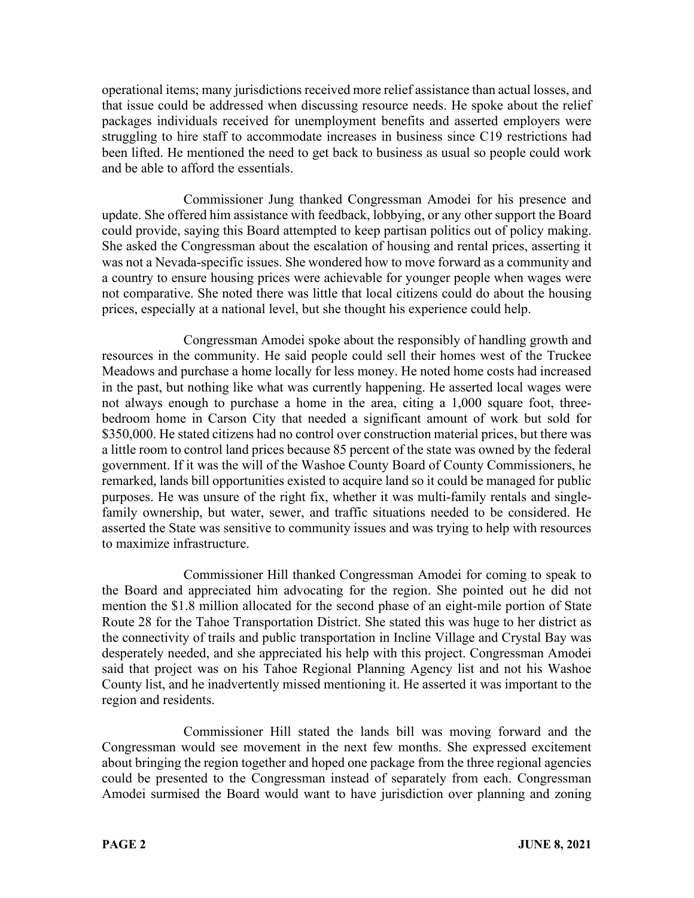operational items; many jurisdictions received more relief assistance than actual losses, and that issue could be addressed when discussing resource needs. He spoke about the relief packages individuals received for unemployment benefits and asserted employers were struggling to hire staff to accommodate increases in business since C19 restrictions had been lifted. He mentioned the need to get back to business as usual so people could work and be able to afford the essentials.

Commissioner Jung thanked Congressman Amodei for his presence and update. She offered him assistance with feedback, lobbying, or any other support the Board could provide, saying this Board attempted to keep partisan politics out of policy making. She asked the Congressman about the escalation of housing and rental prices, asserting it was not a Nevada-specific issues. She wondered how to move forward as a community and a country to ensure housing prices were achievable for younger people when wages were not comparative. She noted there was little that local citizens could do about the housing prices, especially at a national level, but she thought his experience could help.

Congressman Amodei spoke about the responsibly of handling growth and resources in the community. He said people could sell their homes west of the Truckee Meadows and purchase a home locally for less money. He noted home costs had increased in the past, but nothing like what was currently happening. He asserted local wages were not always enough to purchase a home in the area, citing a 1,000 square foot, threebedroom home in Carson City that needed a significant amount of work but sold for \$350,000. He stated citizens had no control over construction material prices, but there was a little room to control land prices because 85 percent of the state was owned by the federal government. If it was the will of the Washoe County Board of County Commissioners, he remarked, lands bill opportunities existed to acquire land so it could be managed for public purposes. He was unsure of the right fix, whether it was multi-family rentals and singlefamily ownership, but water, sewer, and traffic situations needed to be considered. He asserted the State was sensitive to community issues and was trying to help with resources to maximize infrastructure.

Commissioner Hill thanked Congressman Amodei for coming to speak to the Board and appreciated him advocating for the region. She pointed out he did not mention the \$1.8 million allocated for the second phase of an eight-mile portion of State Route 28 for the Tahoe Transportation District. She stated this was huge to her district as the connectivity of trails and public transportation in Incline Village and Crystal Bay was desperately needed, and she appreciated his help with this project. Congressman Amodei said that project was on his Tahoe Regional Planning Agency list and not his Washoe County list, and he inadvertently missed mentioning it. He asserted it was important to the region and residents.

Commissioner Hill stated the lands bill was moving forward and the Congressman would see movement in the next few months. She expressed excitement about bringing the region together and hoped one package from the three regional agencies could be presented to the Congressman instead of separately from each. Congressman Amodei surmised the Board would want to have jurisdiction over planning and zoning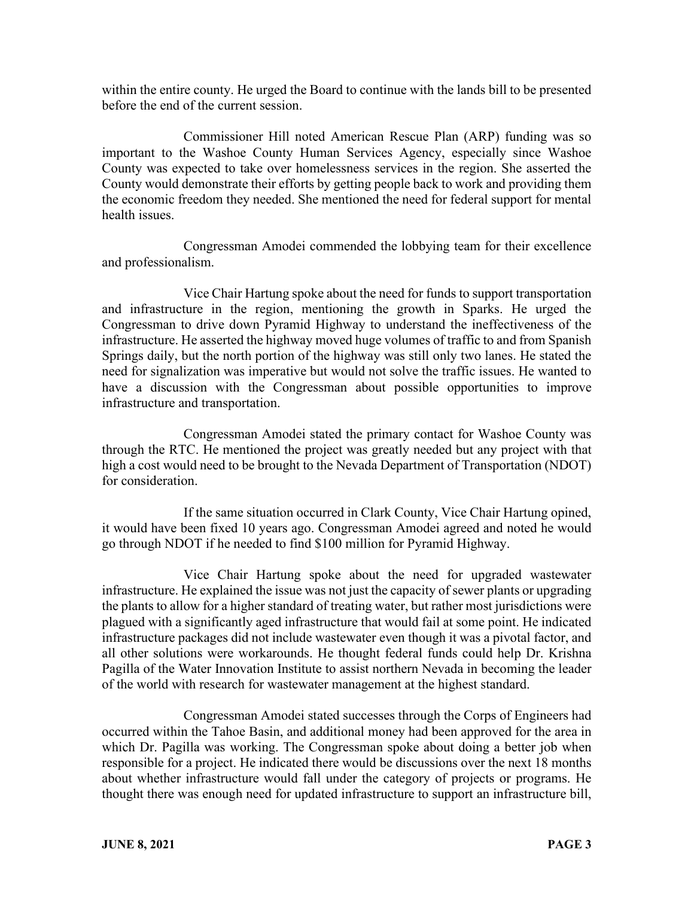within the entire county. He urged the Board to continue with the lands bill to be presented before the end of the current session.

Commissioner Hill noted American Rescue Plan (ARP) funding was so important to the Washoe County Human Services Agency, especially since Washoe County was expected to take over homelessness services in the region. She asserted the County would demonstrate their efforts by getting people back to work and providing them the economic freedom they needed. She mentioned the need for federal support for mental health issues.

Congressman Amodei commended the lobbying team for their excellence and professionalism.

Vice Chair Hartung spoke about the need for funds to support transportation and infrastructure in the region, mentioning the growth in Sparks. He urged the Congressman to drive down Pyramid Highway to understand the ineffectiveness of the infrastructure. He asserted the highway moved huge volumes of traffic to and from Spanish Springs daily, but the north portion of the highway was still only two lanes. He stated the need for signalization was imperative but would not solve the traffic issues. He wanted to have a discussion with the Congressman about possible opportunities to improve infrastructure and transportation.

Congressman Amodei stated the primary contact for Washoe County was through the RTC. He mentioned the project was greatly needed but any project with that high a cost would need to be brought to the Nevada Department of Transportation (NDOT) for consideration.

If the same situation occurred in Clark County, Vice Chair Hartung opined, it would have been fixed 10 years ago. Congressman Amodei agreed and noted he would go through NDOT if he needed to find \$100 million for Pyramid Highway.

Vice Chair Hartung spoke about the need for upgraded wastewater infrastructure. He explained the issue was not just the capacity of sewer plants or upgrading the plants to allow for a higher standard of treating water, but rather most jurisdictions were plagued with a significantly aged infrastructure that would fail at some point. He indicated infrastructure packages did not include wastewater even though it was a pivotal factor, and all other solutions were workarounds. He thought federal funds could help Dr. Krishna Pagilla of the Water Innovation Institute to assist northern Nevada in becoming the leader of the world with research for wastewater management at the highest standard.

Congressman Amodei stated successes through the Corps of Engineers had occurred within the Tahoe Basin, and additional money had been approved for the area in which Dr. Pagilla was working. The Congressman spoke about doing a better job when responsible for a project. He indicated there would be discussions over the next 18 months about whether infrastructure would fall under the category of projects or programs. He thought there was enough need for updated infrastructure to support an infrastructure bill,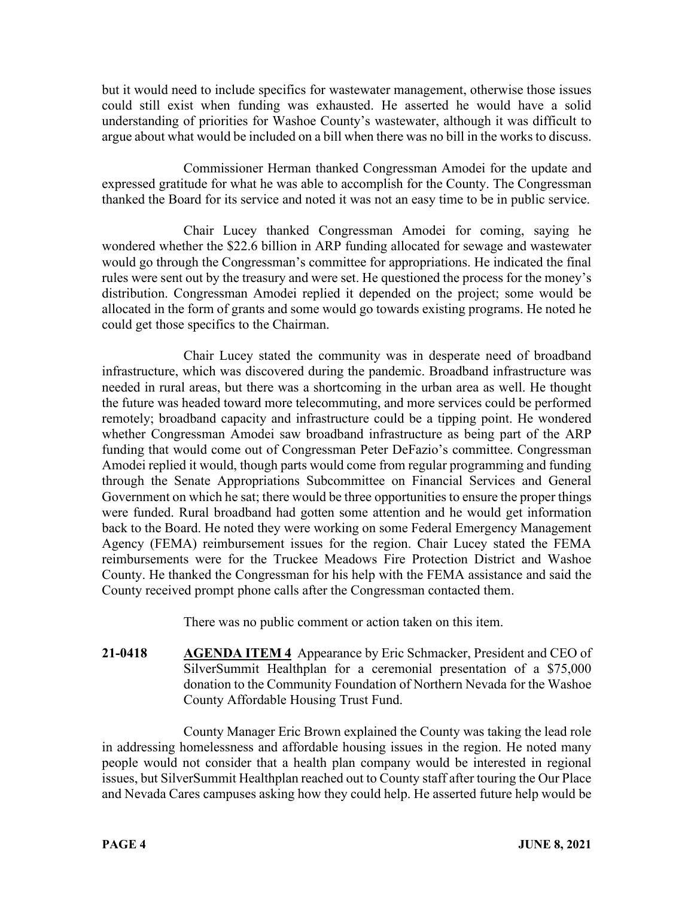but it would need to include specifics for wastewater management, otherwise those issues could still exist when funding was exhausted. He asserted he would have a solid understanding of priorities for Washoe County's wastewater, although it was difficult to argue about what would be included on a bill when there was no bill in the works to discuss.

Commissioner Herman thanked Congressman Amodei for the update and expressed gratitude for what he was able to accomplish for the County. The Congressman thanked the Board for its service and noted it was not an easy time to be in public service.

Chair Lucey thanked Congressman Amodei for coming, saying he wondered whether the \$22.6 billion in ARP funding allocated for sewage and wastewater would go through the Congressman's committee for appropriations. He indicated the final rules were sent out by the treasury and were set. He questioned the process for the money's distribution. Congressman Amodei replied it depended on the project; some would be allocated in the form of grants and some would go towards existing programs. He noted he could get those specifics to the Chairman.

Chair Lucey stated the community was in desperate need of broadband infrastructure, which was discovered during the pandemic. Broadband infrastructure was needed in rural areas, but there was a shortcoming in the urban area as well. He thought the future was headed toward more telecommuting, and more services could be performed remotely; broadband capacity and infrastructure could be a tipping point. He wondered whether Congressman Amodei saw broadband infrastructure as being part of the ARP funding that would come out of Congressman Peter DeFazio's committee. Congressman Amodei replied it would, though parts would come from regular programming and funding through the Senate Appropriations Subcommittee on Financial Services and General Government on which he sat; there would be three opportunities to ensure the proper things were funded. Rural broadband had gotten some attention and he would get information back to the Board. He noted they were working on some Federal Emergency Management Agency (FEMA) reimbursement issues for the region. Chair Lucey stated the FEMA reimbursements were for the Truckee Meadows Fire Protection District and Washoe County. He thanked the Congressman for his help with the FEMA assistance and said the County received prompt phone calls after the Congressman contacted them.

There was no public comment or action taken on this item.

**21-0418 AGENDA ITEM 4** Appearance by Eric Schmacker, President and CEO of SilverSummit Healthplan for a ceremonial presentation of a \$75,000 donation to the Community Foundation of Northern Nevada for the Washoe County Affordable Housing Trust Fund.

County Manager Eric Brown explained the County was taking the lead role in addressing homelessness and affordable housing issues in the region. He noted many people would not consider that a health plan company would be interested in regional issues, but SilverSummit Healthplan reached out to County staff after touring the Our Place and Nevada Cares campuses asking how they could help. He asserted future help would be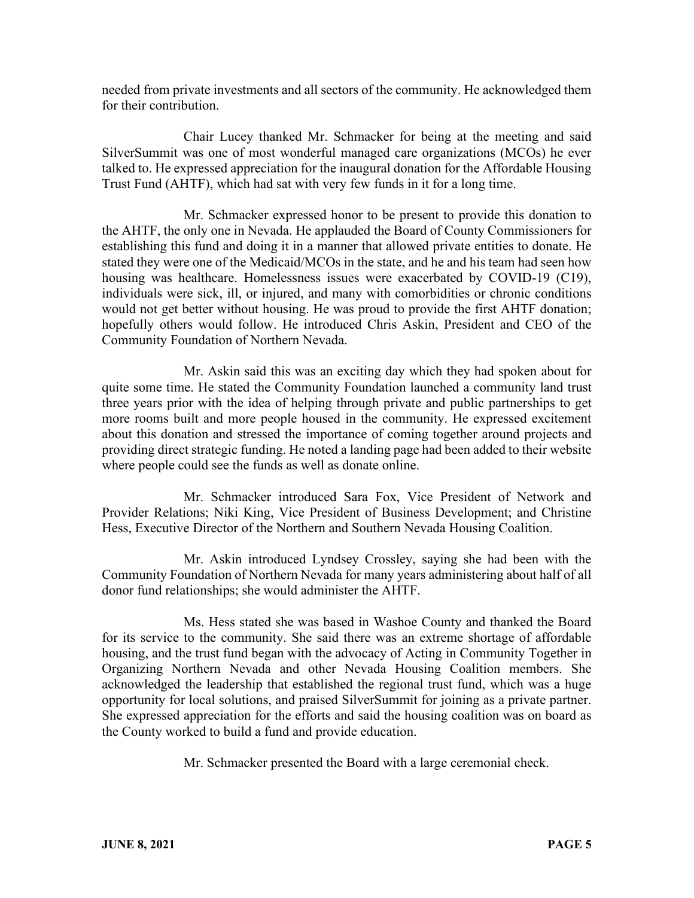needed from private investments and all sectors of the community. He acknowledged them for their contribution.

Chair Lucey thanked Mr. Schmacker for being at the meeting and said SilverSummit was one of most wonderful managed care organizations (MCOs) he ever talked to. He expressed appreciation for the inaugural donation for the Affordable Housing Trust Fund (AHTF), which had sat with very few funds in it for a long time.

Mr. Schmacker expressed honor to be present to provide this donation to the AHTF, the only one in Nevada. He applauded the Board of County Commissioners for establishing this fund and doing it in a manner that allowed private entities to donate. He stated they were one of the Medicaid/MCOs in the state, and he and his team had seen how housing was healthcare. Homelessness issues were exacerbated by COVID-19 (C19), individuals were sick, ill, or injured, and many with comorbidities or chronic conditions would not get better without housing. He was proud to provide the first AHTF donation; hopefully others would follow. He introduced Chris Askin, President and CEO of the Community Foundation of Northern Nevada.

Mr. Askin said this was an exciting day which they had spoken about for quite some time. He stated the Community Foundation launched a community land trust three years prior with the idea of helping through private and public partnerships to get more rooms built and more people housed in the community. He expressed excitement about this donation and stressed the importance of coming together around projects and providing direct strategic funding. He noted a landing page had been added to their website where people could see the funds as well as donate online.

Mr. Schmacker introduced Sara Fox, Vice President of Network and Provider Relations; Niki King, Vice President of Business Development; and Christine Hess, Executive Director of the Northern and Southern Nevada Housing Coalition.

Mr. Askin introduced Lyndsey Crossley, saying she had been with the Community Foundation of Northern Nevada for many years administering about half of all donor fund relationships; she would administer the AHTF.

Ms. Hess stated she was based in Washoe County and thanked the Board for its service to the community. She said there was an extreme shortage of affordable housing, and the trust fund began with the advocacy of Acting in Community Together in Organizing Northern Nevada and other Nevada Housing Coalition members. She acknowledged the leadership that established the regional trust fund, which was a huge opportunity for local solutions, and praised SilverSummit for joining as a private partner. She expressed appreciation for the efforts and said the housing coalition was on board as the County worked to build a fund and provide education.

Mr. Schmacker presented the Board with a large ceremonial check.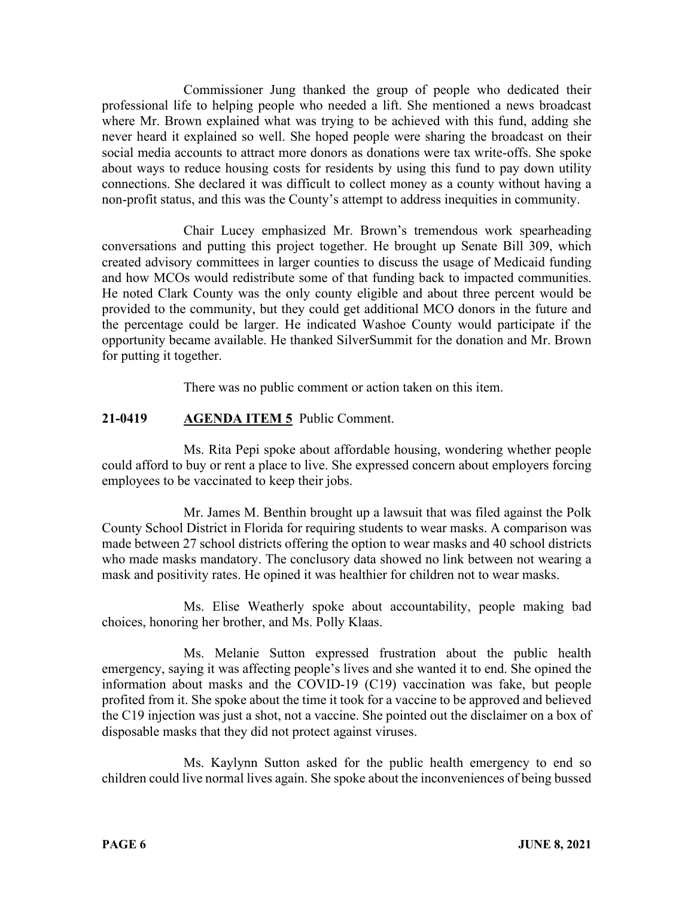Commissioner Jung thanked the group of people who dedicated their professional life to helping people who needed a lift. She mentioned a news broadcast where Mr. Brown explained what was trying to be achieved with this fund, adding she never heard it explained so well. She hoped people were sharing the broadcast on their social media accounts to attract more donors as donations were tax write-offs. She spoke about ways to reduce housing costs for residents by using this fund to pay down utility connections. She declared it was difficult to collect money as a county without having a non-profit status, and this was the County's attempt to address inequities in community.

Chair Lucey emphasized Mr. Brown's tremendous work spearheading conversations and putting this project together. He brought up Senate Bill 309, which created advisory committees in larger counties to discuss the usage of Medicaid funding and how MCOs would redistribute some of that funding back to impacted communities. He noted Clark County was the only county eligible and about three percent would be provided to the community, but they could get additional MCO donors in the future and the percentage could be larger. He indicated Washoe County would participate if the opportunity became available. He thanked SilverSummit for the donation and Mr. Brown for putting it together.

There was no public comment or action taken on this item.

# **21-0419 AGENDA ITEM 5** Public Comment.

Ms. Rita Pepi spoke about affordable housing, wondering whether people could afford to buy or rent a place to live. She expressed concern about employers forcing employees to be vaccinated to keep their jobs.

Mr. James M. Benthin brought up a lawsuit that was filed against the Polk County School District in Florida for requiring students to wear masks. A comparison was made between 27 school districts offering the option to wear masks and 40 school districts who made masks mandatory. The conclusory data showed no link between not wearing a mask and positivity rates. He opined it was healthier for children not to wear masks.

Ms. Elise Weatherly spoke about accountability, people making bad choices, honoring her brother, and Ms. Polly Klaas.

Ms. Melanie Sutton expressed frustration about the public health emergency, saying it was affecting people's lives and she wanted it to end. She opined the information about masks and the COVID-19 (C19) vaccination was fake, but people profited from it. She spoke about the time it took for a vaccine to be approved and believed the C19 injection was just a shot, not a vaccine. She pointed out the disclaimer on a box of disposable masks that they did not protect against viruses.

Ms. Kaylynn Sutton asked for the public health emergency to end so children could live normal lives again. She spoke about the inconveniences of being bussed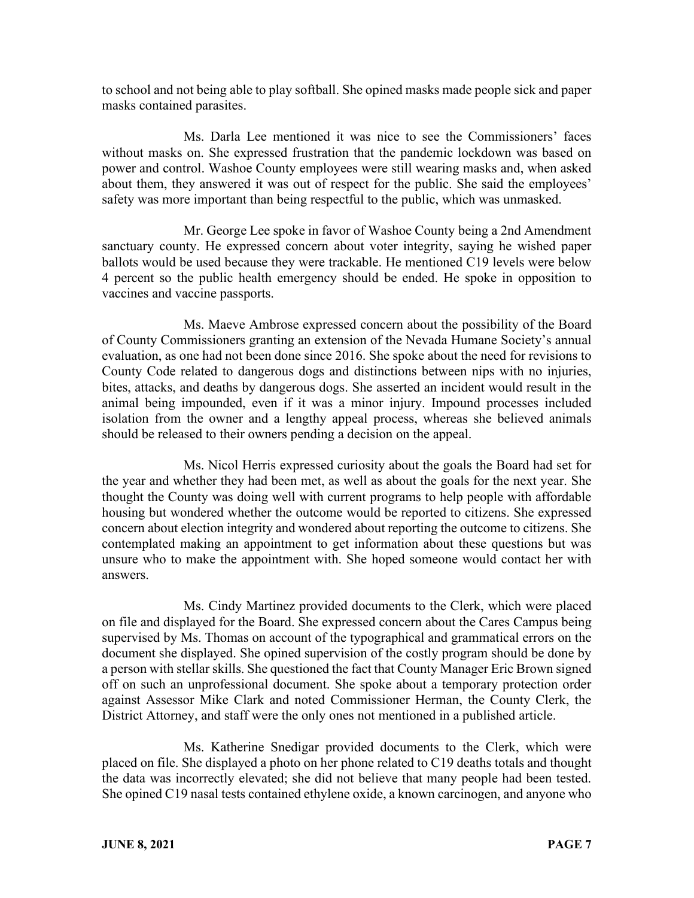to school and not being able to play softball. She opined masks made people sick and paper masks contained parasites.

Ms. Darla Lee mentioned it was nice to see the Commissioners' faces without masks on. She expressed frustration that the pandemic lockdown was based on power and control. Washoe County employees were still wearing masks and, when asked about them, they answered it was out of respect for the public. She said the employees' safety was more important than being respectful to the public, which was unmasked.

Mr. George Lee spoke in favor of Washoe County being a 2nd Amendment sanctuary county. He expressed concern about voter integrity, saying he wished paper ballots would be used because they were trackable. He mentioned C19 levels were below 4 percent so the public health emergency should be ended. He spoke in opposition to vaccines and vaccine passports.

Ms. Maeve Ambrose expressed concern about the possibility of the Board of County Commissioners granting an extension of the Nevada Humane Society's annual evaluation, as one had not been done since 2016. She spoke about the need for revisions to County Code related to dangerous dogs and distinctions between nips with no injuries, bites, attacks, and deaths by dangerous dogs. She asserted an incident would result in the animal being impounded, even if it was a minor injury. Impound processes included isolation from the owner and a lengthy appeal process, whereas she believed animals should be released to their owners pending a decision on the appeal.

Ms. Nicol Herris expressed curiosity about the goals the Board had set for the year and whether they had been met, as well as about the goals for the next year. She thought the County was doing well with current programs to help people with affordable housing but wondered whether the outcome would be reported to citizens. She expressed concern about election integrity and wondered about reporting the outcome to citizens. She contemplated making an appointment to get information about these questions but was unsure who to make the appointment with. She hoped someone would contact her with answers.

Ms. Cindy Martinez provided documents to the Clerk, which were placed on file and displayed for the Board. She expressed concern about the Cares Campus being supervised by Ms. Thomas on account of the typographical and grammatical errors on the document she displayed. She opined supervision of the costly program should be done by a person with stellar skills. She questioned the fact that County Manager Eric Brown signed off on such an unprofessional document. She spoke about a temporary protection order against Assessor Mike Clark and noted Commissioner Herman, the County Clerk, the District Attorney, and staff were the only ones not mentioned in a published article.

Ms. Katherine Snedigar provided documents to the Clerk, which were placed on file. She displayed a photo on her phone related to C19 deaths totals and thought the data was incorrectly elevated; she did not believe that many people had been tested. She opined C19 nasal tests contained ethylene oxide, a known carcinogen, and anyone who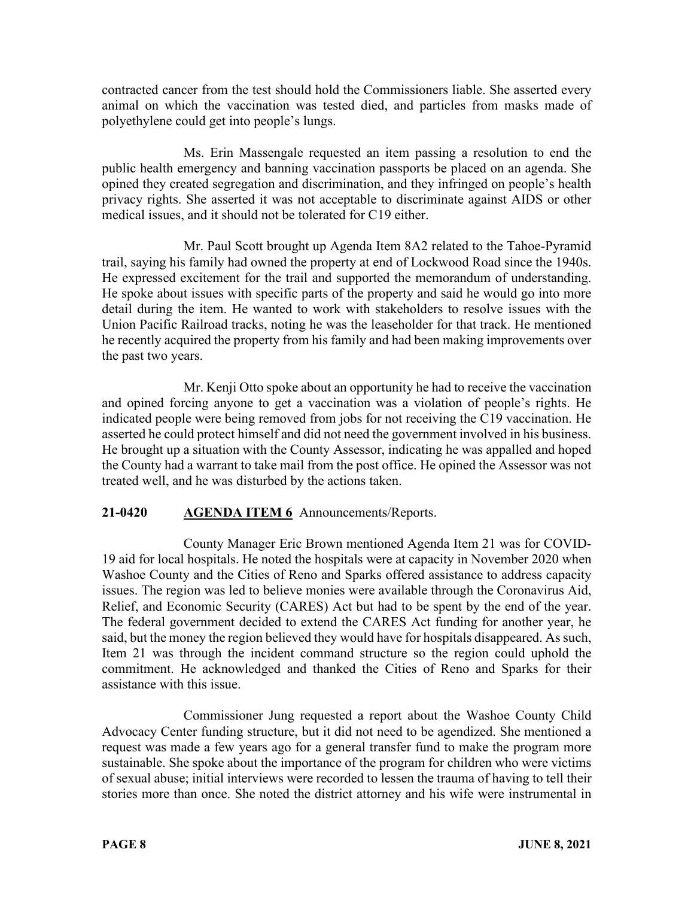contracted cancer from the test should hold the Commissioners liable. She asserted every animal on which the vaccination was tested died, and particles from masks made of polyethylene could get into people's lungs.

Ms. Erin Massengale requested an item passing a resolution to end the public health emergency and banning vaccination passports be placed on an agenda. She opined they created segregation and discrimination, and they infringed on people's health privacy rights. She asserted it was not acceptable to discriminate against AIDS or other medical issues, and it should not be tolerated for C19 either.

Mr. Paul Scott brought up Agenda Item 8A2 related to the Tahoe-Pyramid trail, saying his family had owned the property at end of Lockwood Road since the 1940s. He expressed excitement for the trail and supported the memorandum of understanding. He spoke about issues with specific parts of the property and said he would go into more detail during the item. He wanted to work with stakeholders to resolve issues with the Union Pacific Railroad tracks, noting he was the leaseholder for that track. He mentioned he recently acquired the property from his family and had been making improvements over the past two years.

Mr. Kenji Otto spoke about an opportunity he had to receive the vaccination and opined forcing anyone to get a vaccination was a violation of people's rights. He indicated people were being removed from jobs for not receiving the C19 vaccination. He asserted he could protect himself and did not need the government involved in his business. He brought up a situation with the County Assessor, indicating he was appalled and hoped the County had a warrant to take mail from the post office. He opined the Assessor was not treated well, and he was disturbed by the actions taken.

# **21-0420 AGENDA ITEM 6** Announcements/Reports.

County Manager Eric Brown mentioned Agenda Item 21 was for COVID-19 aid for local hospitals. He noted the hospitals were at capacity in November 2020 when Washoe County and the Cities of Reno and Sparks offered assistance to address capacity issues. The region was led to believe monies were available through the Coronavirus Aid, Relief, and Economic Security (CARES) Act but had to be spent by the end of the year. The federal government decided to extend the CARES Act funding for another year, he said, but the money the region believed they would have for hospitals disappeared. As such, Item 21 was through the incident command structure so the region could uphold the commitment. He acknowledged and thanked the Cities of Reno and Sparks for their assistance with this issue.

Commissioner Jung requested a report about the Washoe County Child Advocacy Center funding structure, but it did not need to be agendized. She mentioned a request was made a few years ago for a general transfer fund to make the program more sustainable. She spoke about the importance of the program for children who were victims of sexual abuse; initial interviews were recorded to lessen the trauma of having to tell their stories more than once. She noted the district attorney and his wife were instrumental in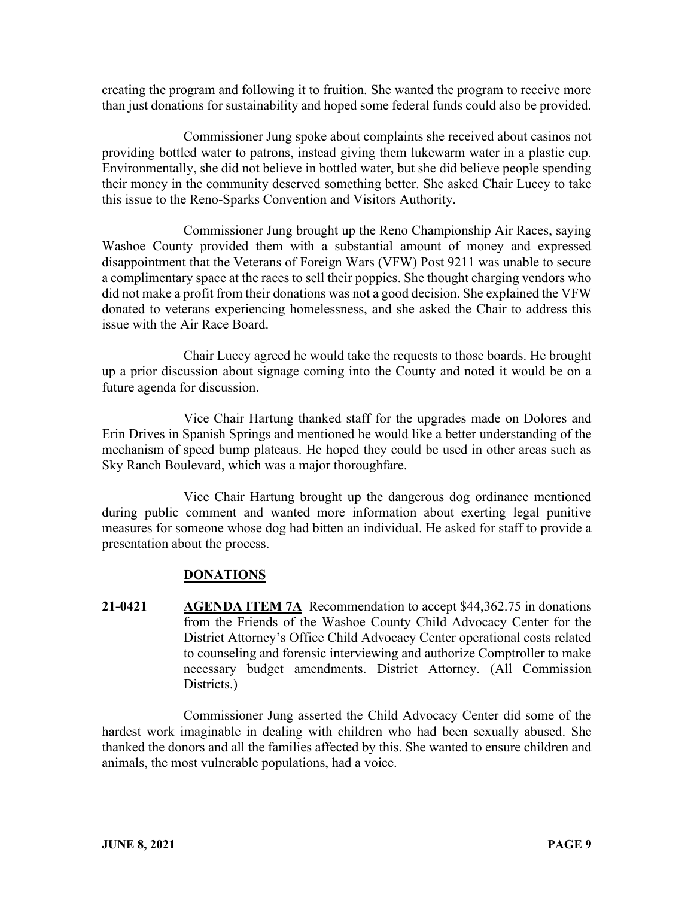creating the program and following it to fruition. She wanted the program to receive more than just donations for sustainability and hoped some federal funds could also be provided.

Commissioner Jung spoke about complaints she received about casinos not providing bottled water to patrons, instead giving them lukewarm water in a plastic cup. Environmentally, she did not believe in bottled water, but she did believe people spending their money in the community deserved something better. She asked Chair Lucey to take this issue to the Reno-Sparks Convention and Visitors Authority.

Commissioner Jung brought up the Reno Championship Air Races, saying Washoe County provided them with a substantial amount of money and expressed disappointment that the Veterans of Foreign Wars (VFW) Post 9211 was unable to secure a complimentary space at the races to sell their poppies. She thought charging vendors who did not make a profit from their donations was not a good decision. She explained the VFW donated to veterans experiencing homelessness, and she asked the Chair to address this issue with the Air Race Board.

Chair Lucey agreed he would take the requests to those boards. He brought up a prior discussion about signage coming into the County and noted it would be on a future agenda for discussion.

Vice Chair Hartung thanked staff for the upgrades made on Dolores and Erin Drives in Spanish Springs and mentioned he would like a better understanding of the mechanism of speed bump plateaus. He hoped they could be used in other areas such as Sky Ranch Boulevard, which was a major thoroughfare.

Vice Chair Hartung brought up the dangerous dog ordinance mentioned during public comment and wanted more information about exerting legal punitive measures for someone whose dog had bitten an individual. He asked for staff to provide a presentation about the process.

# **DONATIONS**

**21-0421 AGENDA ITEM 7A** Recommendation to accept \$44,362.75 in donations from the Friends of the Washoe County Child Advocacy Center for the District Attorney's Office Child Advocacy Center operational costs related to counseling and forensic interviewing and authorize Comptroller to make necessary budget amendments. District Attorney. (All Commission Districts.)

Commissioner Jung asserted the Child Advocacy Center did some of the hardest work imaginable in dealing with children who had been sexually abused. She thanked the donors and all the families affected by this. She wanted to ensure children and animals, the most vulnerable populations, had a voice.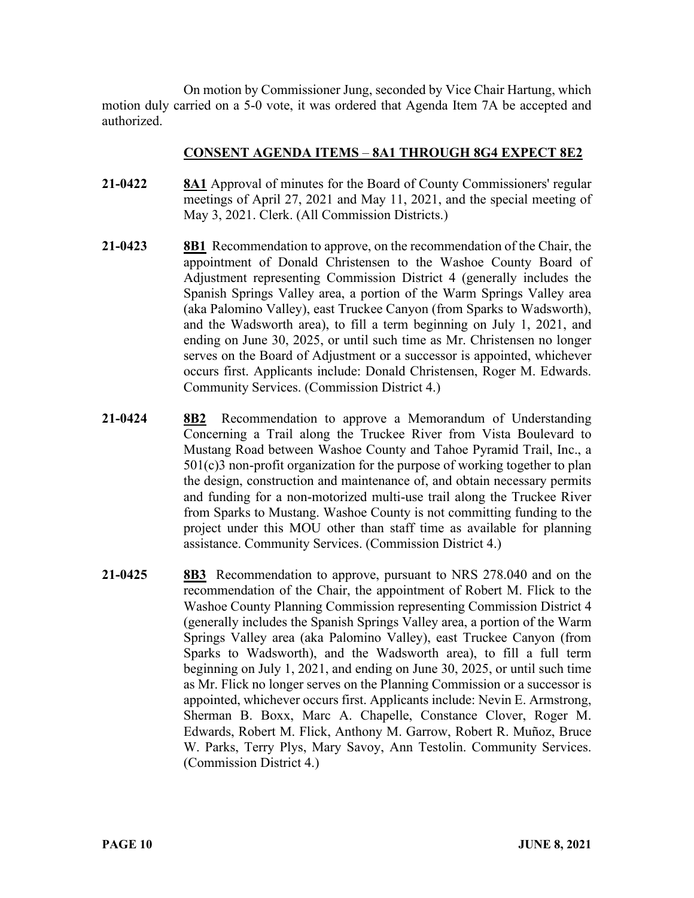On motion by Commissioner Jung, seconded by Vice Chair Hartung, which motion duly carried on a 5-0 vote, it was ordered that Agenda Item 7A be accepted and authorized.

### **CONSENT AGENDA ITEMS** – **8A1 THROUGH 8G4 EXPECT 8E2**

- **21-0422 8A1** Approval of minutes for the Board of County Commissioners' regular meetings of April 27, 2021 and May 11, 2021, and the special meeting of May 3, 2021. Clerk. (All Commission Districts.)
- **21-0423 8B1** Recommendation to approve, on the recommendation of the Chair, the appointment of Donald Christensen to the Washoe County Board of Adjustment representing Commission District 4 (generally includes the Spanish Springs Valley area, a portion of the Warm Springs Valley area (aka Palomino Valley), east Truckee Canyon (from Sparks to Wadsworth), and the Wadsworth area), to fill a term beginning on July 1, 2021, and ending on June 30, 2025, or until such time as Mr. Christensen no longer serves on the Board of Adjustment or a successor is appointed, whichever occurs first. Applicants include: Donald Christensen, Roger M. Edwards. Community Services. (Commission District 4.)
- **21-0424 8B2** Recommendation to approve a Memorandum of Understanding Concerning a Trail along the Truckee River from Vista Boulevard to Mustang Road between Washoe County and Tahoe Pyramid Trail, Inc., a 501(c)3 non-profit organization for the purpose of working together to plan the design, construction and maintenance of, and obtain necessary permits and funding for a non-motorized multi-use trail along the Truckee River from Sparks to Mustang. Washoe County is not committing funding to the project under this MOU other than staff time as available for planning assistance. Community Services. (Commission District 4.)
- **21-0425 8B3** Recommendation to approve, pursuant to NRS 278.040 and on the recommendation of the Chair, the appointment of Robert M. Flick to the Washoe County Planning Commission representing Commission District 4 (generally includes the Spanish Springs Valley area, a portion of the Warm Springs Valley area (aka Palomino Valley), east Truckee Canyon (from Sparks to Wadsworth), and the Wadsworth area), to fill a full term beginning on July 1, 2021, and ending on June 30, 2025, or until such time as Mr. Flick no longer serves on the Planning Commission or a successor is appointed, whichever occurs first. Applicants include: Nevin E. Armstrong, Sherman B. Boxx, Marc A. Chapelle, Constance Clover, Roger M. Edwards, Robert M. Flick, Anthony M. Garrow, Robert R. Muñoz, Bruce W. Parks, Terry Plys, Mary Savoy, Ann Testolin. Community Services. (Commission District 4.)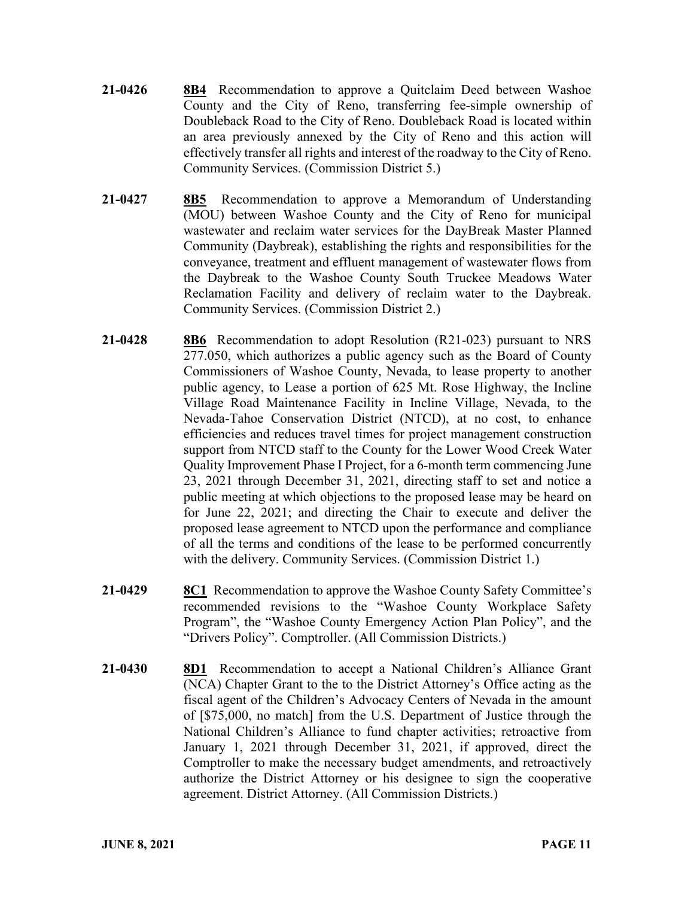- **21-0426 8B4** Recommendation to approve a Quitclaim Deed between Washoe County and the City of Reno, transferring fee-simple ownership of Doubleback Road to the City of Reno. Doubleback Road is located within an area previously annexed by the City of Reno and this action will effectively transfer all rights and interest of the roadway to the City of Reno. Community Services. (Commission District 5.)
- **21-0427 8B5** Recommendation to approve a Memorandum of Understanding (MOU) between Washoe County and the City of Reno for municipal wastewater and reclaim water services for the DayBreak Master Planned Community (Daybreak), establishing the rights and responsibilities for the conveyance, treatment and effluent management of wastewater flows from the Daybreak to the Washoe County South Truckee Meadows Water Reclamation Facility and delivery of reclaim water to the Daybreak. Community Services. (Commission District 2.)
- **21-0428 8B6** Recommendation to adopt Resolution (R21-023) pursuant to NRS 277.050, which authorizes a public agency such as the Board of County Commissioners of Washoe County, Nevada, to lease property to another public agency, to Lease a portion of 625 Mt. Rose Highway, the Incline Village Road Maintenance Facility in Incline Village, Nevada, to the Nevada-Tahoe Conservation District (NTCD), at no cost, to enhance efficiencies and reduces travel times for project management construction support from NTCD staff to the County for the Lower Wood Creek Water Quality Improvement Phase I Project, for a 6-month term commencing June 23, 2021 through December 31, 2021, directing staff to set and notice a public meeting at which objections to the proposed lease may be heard on for June 22, 2021; and directing the Chair to execute and deliver the proposed lease agreement to NTCD upon the performance and compliance of all the terms and conditions of the lease to be performed concurrently with the delivery. Community Services. (Commission District 1.)
- **21-0429 8C1** Recommendation to approve the Washoe County Safety Committee's recommended revisions to the "Washoe County Workplace Safety Program", the "Washoe County Emergency Action Plan Policy", and the "Drivers Policy". Comptroller. (All Commission Districts.)
- **21-0430 8D1** Recommendation to accept a National Children's Alliance Grant (NCA) Chapter Grant to the to the District Attorney's Office acting as the fiscal agent of the Children's Advocacy Centers of Nevada in the amount of [\$75,000, no match] from the U.S. Department of Justice through the National Children's Alliance to fund chapter activities; retroactive from January 1, 2021 through December 31, 2021, if approved, direct the Comptroller to make the necessary budget amendments, and retroactively authorize the District Attorney or his designee to sign the cooperative agreement. District Attorney. (All Commission Districts.)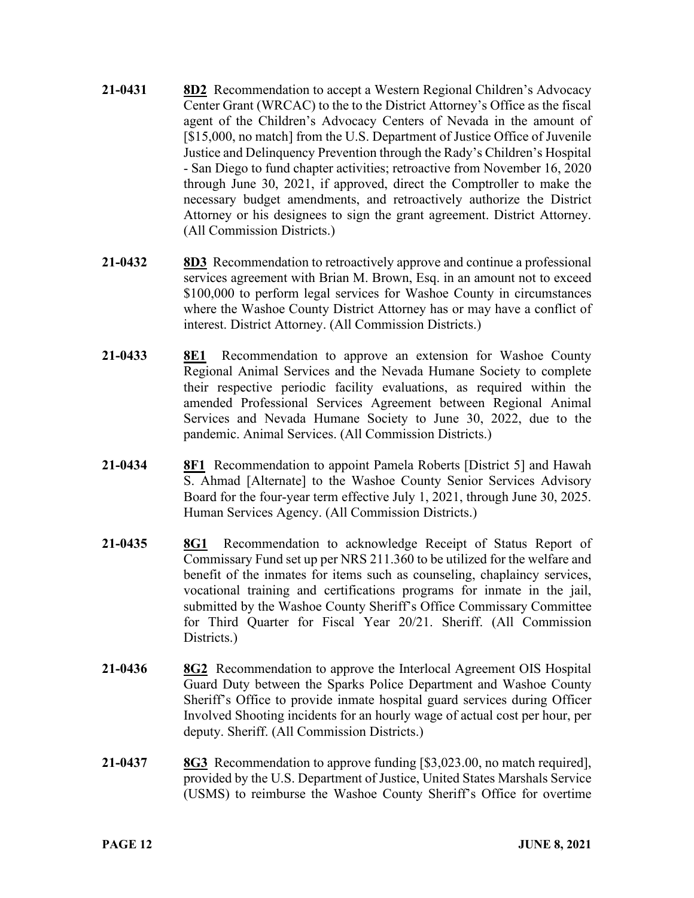- **21-0431 8D2** Recommendation to accept a Western Regional Children's Advocacy Center Grant (WRCAC) to the to the District Attorney's Office as the fiscal agent of the Children's Advocacy Centers of Nevada in the amount of [\$15,000, no match] from the U.S. Department of Justice Office of Juvenile Justice and Delinquency Prevention through the Rady's Children's Hospital - San Diego to fund chapter activities; retroactive from November 16, 2020 through June 30, 2021, if approved, direct the Comptroller to make the necessary budget amendments, and retroactively authorize the District Attorney or his designees to sign the grant agreement. District Attorney. (All Commission Districts.)
- **21-0432 8D3** Recommendation to retroactively approve and continue a professional services agreement with Brian M. Brown, Esq. in an amount not to exceed \$100,000 to perform legal services for Washoe County in circumstances where the Washoe County District Attorney has or may have a conflict of interest. District Attorney. (All Commission Districts.)
- **21-0433 8E1** Recommendation to approve an extension for Washoe County Regional Animal Services and the Nevada Humane Society to complete their respective periodic facility evaluations, as required within the amended Professional Services Agreement between Regional Animal Services and Nevada Humane Society to June 30, 2022, due to the pandemic. Animal Services. (All Commission Districts.)
- **21-0434 8F1** Recommendation to appoint Pamela Roberts [District 5] and Hawah S. Ahmad [Alternate] to the Washoe County Senior Services Advisory Board for the four-year term effective July 1, 2021, through June 30, 2025. Human Services Agency. (All Commission Districts.)
- **21-0435 8G1** Recommendation to acknowledge Receipt of Status Report of Commissary Fund set up per NRS 211.360 to be utilized for the welfare and benefit of the inmates for items such as counseling, chaplaincy services, vocational training and certifications programs for inmate in the jail, submitted by the Washoe County Sheriff's Office Commissary Committee for Third Quarter for Fiscal Year 20/21. Sheriff. (All Commission Districts.)
- **21-0436 8G2** Recommendation to approve the Interlocal Agreement OIS Hospital Guard Duty between the Sparks Police Department and Washoe County Sheriff's Office to provide inmate hospital guard services during Officer Involved Shooting incidents for an hourly wage of actual cost per hour, per deputy. Sheriff. (All Commission Districts.)
- **21-0437 8G3** Recommendation to approve funding [\$3,023.00, no match required], provided by the U.S. Department of Justice, United States Marshals Service (USMS) to reimburse the Washoe County Sheriff's Office for overtime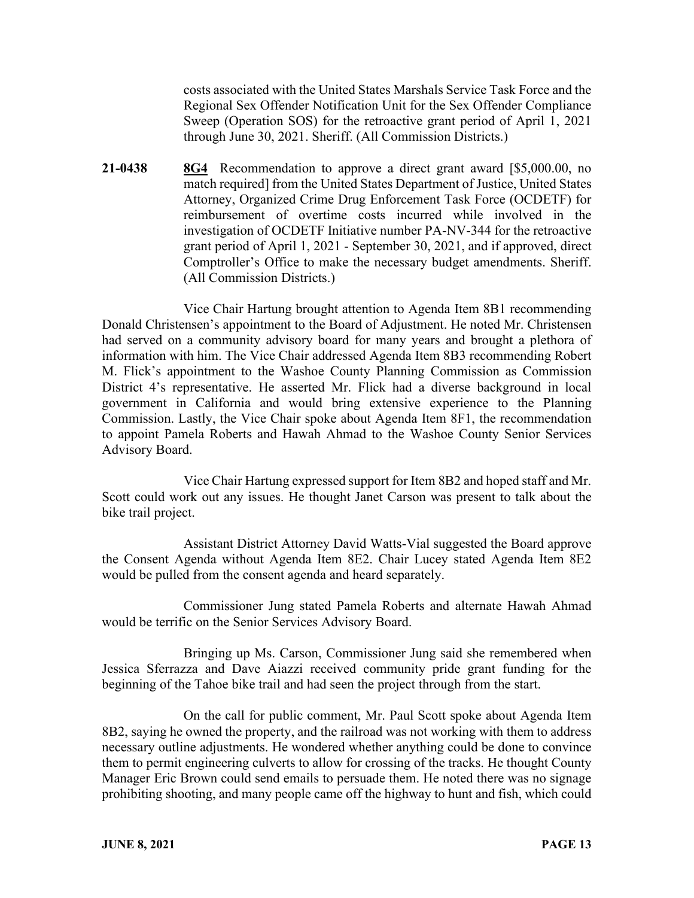costs associated with the United States Marshals Service Task Force and the Regional Sex Offender Notification Unit for the Sex Offender Compliance Sweep (Operation SOS) for the retroactive grant period of April 1, 2021 through June 30, 2021. Sheriff. (All Commission Districts.)

**21-0438 8G4** Recommendation to approve a direct grant award [\$5,000.00, no match required] from the United States Department of Justice, United States Attorney, Organized Crime Drug Enforcement Task Force (OCDETF) for reimbursement of overtime costs incurred while involved in the investigation of OCDETF Initiative number PA-NV-344 for the retroactive grant period of April 1, 2021 - September 30, 2021, and if approved, direct Comptroller's Office to make the necessary budget amendments. Sheriff. (All Commission Districts.)

Vice Chair Hartung brought attention to Agenda Item 8B1 recommending Donald Christensen's appointment to the Board of Adjustment. He noted Mr. Christensen had served on a community advisory board for many years and brought a plethora of information with him. The Vice Chair addressed Agenda Item 8B3 recommending Robert M. Flick's appointment to the Washoe County Planning Commission as Commission District 4's representative. He asserted Mr. Flick had a diverse background in local government in California and would bring extensive experience to the Planning Commission. Lastly, the Vice Chair spoke about Agenda Item 8F1, the recommendation to appoint Pamela Roberts and Hawah Ahmad to the Washoe County Senior Services Advisory Board.

Vice Chair Hartung expressed support for Item 8B2 and hoped staff and Mr. Scott could work out any issues. He thought Janet Carson was present to talk about the bike trail project.

Assistant District Attorney David Watts-Vial suggested the Board approve the Consent Agenda without Agenda Item 8E2. Chair Lucey stated Agenda Item 8E2 would be pulled from the consent agenda and heard separately.

Commissioner Jung stated Pamela Roberts and alternate Hawah Ahmad would be terrific on the Senior Services Advisory Board.

Bringing up Ms. Carson, Commissioner Jung said she remembered when Jessica Sferrazza and Dave Aiazzi received community pride grant funding for the beginning of the Tahoe bike trail and had seen the project through from the start.

On the call for public comment, Mr. Paul Scott spoke about Agenda Item 8B2, saying he owned the property, and the railroad was not working with them to address necessary outline adjustments. He wondered whether anything could be done to convince them to permit engineering culverts to allow for crossing of the tracks. He thought County Manager Eric Brown could send emails to persuade them. He noted there was no signage prohibiting shooting, and many people came off the highway to hunt and fish, which could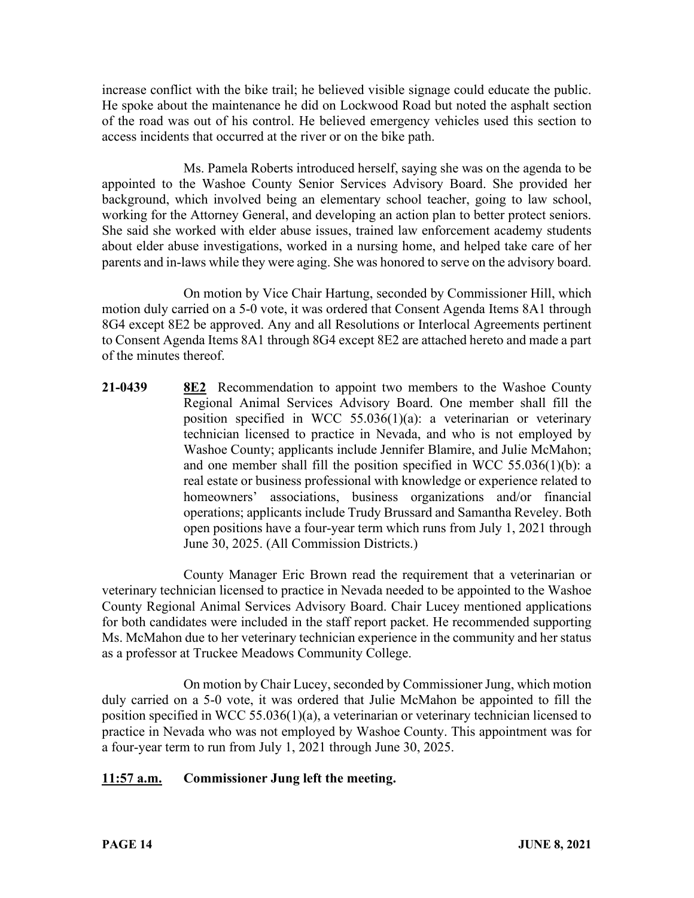increase conflict with the bike trail; he believed visible signage could educate the public. He spoke about the maintenance he did on Lockwood Road but noted the asphalt section of the road was out of his control. He believed emergency vehicles used this section to access incidents that occurred at the river or on the bike path.

Ms. Pamela Roberts introduced herself, saying she was on the agenda to be appointed to the Washoe County Senior Services Advisory Board. She provided her background, which involved being an elementary school teacher, going to law school, working for the Attorney General, and developing an action plan to better protect seniors. She said she worked with elder abuse issues, trained law enforcement academy students about elder abuse investigations, worked in a nursing home, and helped take care of her parents and in-laws while they were aging. She was honored to serve on the advisory board.

On motion by Vice Chair Hartung, seconded by Commissioner Hill, which motion duly carried on a 5-0 vote, it was ordered that Consent Agenda Items 8A1 through 8G4 except 8E2 be approved. Any and all Resolutions or Interlocal Agreements pertinent to Consent Agenda Items 8A1 through 8G4 except 8E2 are attached hereto and made a part of the minutes thereof.

**21-0439 8E2** Recommendation to appoint two members to the Washoe County Regional Animal Services Advisory Board. One member shall fill the position specified in WCC 55.036(1)(a): a veterinarian or veterinary technician licensed to practice in Nevada, and who is not employed by Washoe County; applicants include Jennifer Blamire, and Julie McMahon; and one member shall fill the position specified in WCC 55.036(1)(b): a real estate or business professional with knowledge or experience related to homeowners' associations, business organizations and/or financial operations; applicants include Trudy Brussard and Samantha Reveley. Both open positions have a four-year term which runs from July 1, 2021 through June 30, 2025. (All Commission Districts.)

County Manager Eric Brown read the requirement that a veterinarian or veterinary technician licensed to practice in Nevada needed to be appointed to the Washoe County Regional Animal Services Advisory Board. Chair Lucey mentioned applications for both candidates were included in the staff report packet. He recommended supporting Ms. McMahon due to her veterinary technician experience in the community and her status as a professor at Truckee Meadows Community College.

On motion by Chair Lucey, seconded by Commissioner Jung, which motion duly carried on a 5-0 vote, it was ordered that Julie McMahon be appointed to fill the position specified in WCC 55.036(1)(a), a veterinarian or veterinary technician licensed to practice in Nevada who was not employed by Washoe County. This appointment was for a four-year term to run from July 1, 2021 through June 30, 2025.

# **11:57 a.m. Commissioner Jung left the meeting.**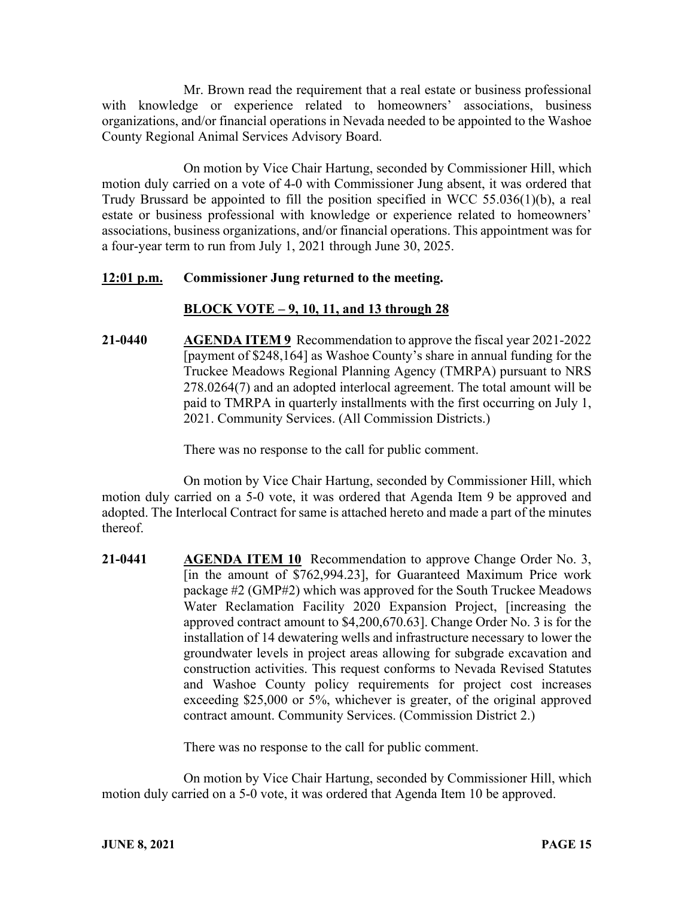Mr. Brown read the requirement that a real estate or business professional with knowledge or experience related to homeowners' associations, business organizations, and/or financial operations in Nevada needed to be appointed to the Washoe County Regional Animal Services Advisory Board.

On motion by Vice Chair Hartung, seconded by Commissioner Hill, which motion duly carried on a vote of 4-0 with Commissioner Jung absent, it was ordered that Trudy Brussard be appointed to fill the position specified in WCC 55.036(1)(b), a real estate or business professional with knowledge or experience related to homeowners' associations, business organizations, and/or financial operations. This appointment was for a four-year term to run from July 1, 2021 through June 30, 2025.

### **12:01 p.m. Commissioner Jung returned to the meeting.**

# **BLOCK VOTE – 9, 10, 11, and 13 through 28**

**21-0440 AGENDA ITEM 9** Recommendation to approve the fiscal year 2021-2022 [payment of \$248,164] as Washoe County's share in annual funding for the Truckee Meadows Regional Planning Agency (TMRPA) pursuant to NRS 278.0264(7) and an adopted interlocal agreement. The total amount will be paid to TMRPA in quarterly installments with the first occurring on July 1, 2021. Community Services. (All Commission Districts.)

There was no response to the call for public comment.

On motion by Vice Chair Hartung, seconded by Commissioner Hill, which motion duly carried on a 5-0 vote, it was ordered that Agenda Item 9 be approved and adopted. The Interlocal Contract for same is attached hereto and made a part of the minutes thereof.

**21-0441 AGENDA ITEM 10** Recommendation to approve Change Order No. 3, [in the amount of \$762,994.23], for Guaranteed Maximum Price work package #2 (GMP#2) which was approved for the South Truckee Meadows Water Reclamation Facility 2020 Expansion Project, [increasing the approved contract amount to \$4,200,670.63]. Change Order No. 3 is for the installation of 14 dewatering wells and infrastructure necessary to lower the groundwater levels in project areas allowing for subgrade excavation and construction activities. This request conforms to Nevada Revised Statutes and Washoe County policy requirements for project cost increases exceeding \$25,000 or 5%, whichever is greater, of the original approved contract amount. Community Services. (Commission District 2.)

There was no response to the call for public comment.

On motion by Vice Chair Hartung, seconded by Commissioner Hill, which motion duly carried on a 5-0 vote, it was ordered that Agenda Item 10 be approved.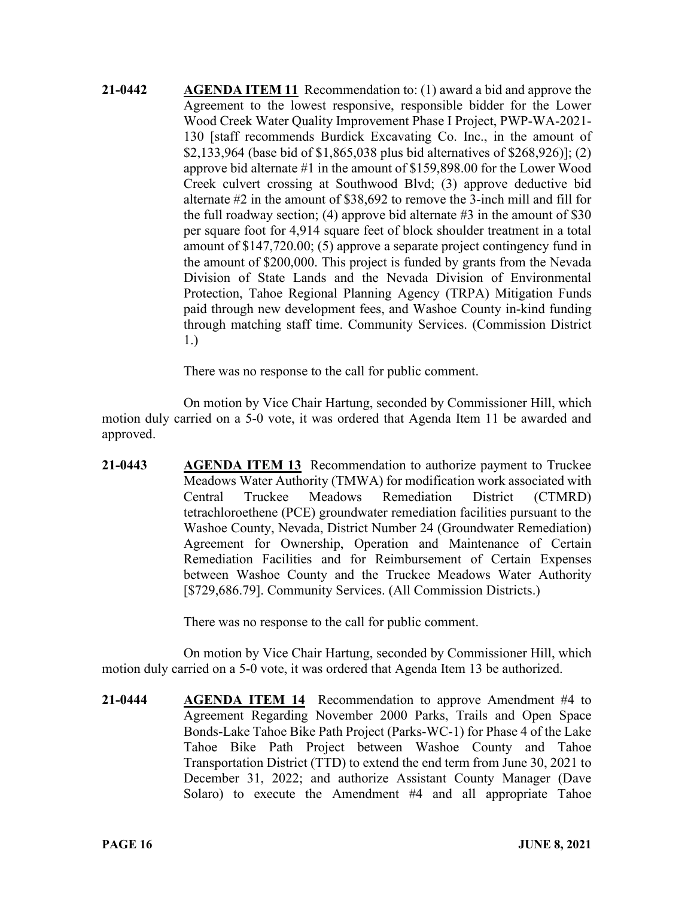**21-0442 AGENDA ITEM 11** Recommendation to: (1) award a bid and approve the Agreement to the lowest responsive, responsible bidder for the Lower Wood Creek Water Quality Improvement Phase I Project, PWP-WA-2021- 130 [staff recommends Burdick Excavating Co. Inc., in the amount of \$2,133,964 (base bid of \$1,865,038 plus bid alternatives of \$268,926)]; (2) approve bid alternate #1 in the amount of \$159,898.00 for the Lower Wood Creek culvert crossing at Southwood Blvd; (3) approve deductive bid alternate #2 in the amount of \$38,692 to remove the 3-inch mill and fill for the full roadway section; (4) approve bid alternate  $\#3$  in the amount of \$30 per square foot for 4,914 square feet of block shoulder treatment in a total amount of \$147,720.00; (5) approve a separate project contingency fund in the amount of \$200,000. This project is funded by grants from the Nevada Division of State Lands and the Nevada Division of Environmental Protection, Tahoe Regional Planning Agency (TRPA) Mitigation Funds paid through new development fees, and Washoe County in-kind funding through matching staff time. Community Services. (Commission District 1.)

There was no response to the call for public comment.

On motion by Vice Chair Hartung, seconded by Commissioner Hill, which motion duly carried on a 5-0 vote, it was ordered that Agenda Item 11 be awarded and approved.

**21-0443 AGENDA ITEM 13** Recommendation to authorize payment to Truckee Meadows Water Authority (TMWA) for modification work associated with Central Truckee Meadows Remediation District (CTMRD) tetrachloroethene (PCE) groundwater remediation facilities pursuant to the Washoe County, Nevada, District Number 24 (Groundwater Remediation) Agreement for Ownership, Operation and Maintenance of Certain Remediation Facilities and for Reimbursement of Certain Expenses between Washoe County and the Truckee Meadows Water Authority [\$729,686.79]. Community Services. (All Commission Districts.)

There was no response to the call for public comment.

On motion by Vice Chair Hartung, seconded by Commissioner Hill, which motion duly carried on a 5-0 vote, it was ordered that Agenda Item 13 be authorized.

**21-0444 AGENDA ITEM 14** Recommendation to approve Amendment #4 to Agreement Regarding November 2000 Parks, Trails and Open Space Bonds-Lake Tahoe Bike Path Project (Parks-WC-1) for Phase 4 of the Lake Tahoe Bike Path Project between Washoe County and Tahoe Transportation District (TTD) to extend the end term from June 30, 2021 to December 31, 2022; and authorize Assistant County Manager (Dave Solaro) to execute the Amendment #4 and all appropriate Tahoe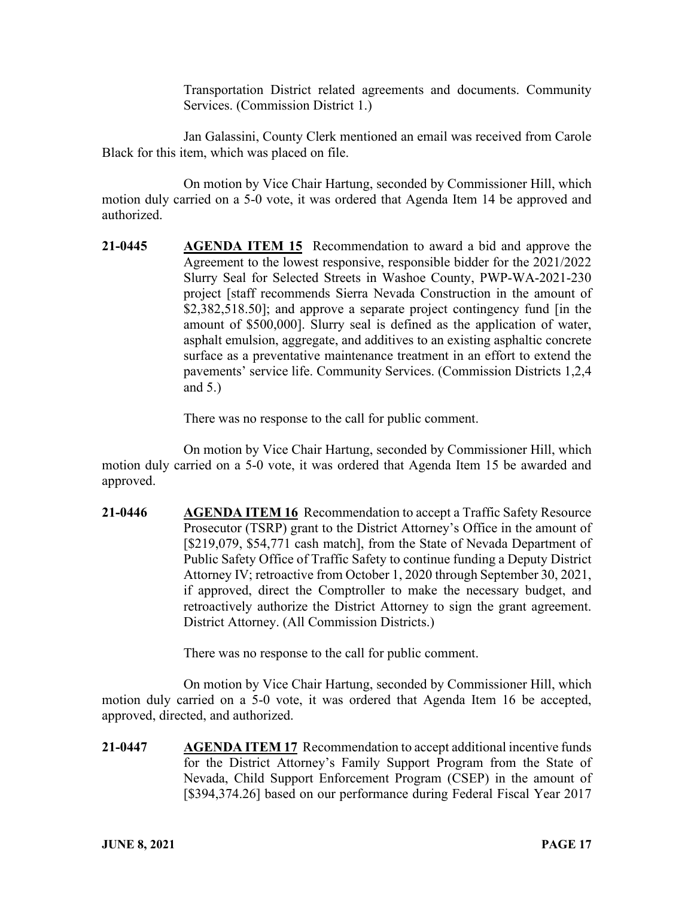Transportation District related agreements and documents. Community Services. (Commission District 1.)

Jan Galassini, County Clerk mentioned an email was received from Carole Black for this item, which was placed on file.

On motion by Vice Chair Hartung, seconded by Commissioner Hill, which motion duly carried on a 5-0 vote, it was ordered that Agenda Item 14 be approved and authorized.

**21-0445 AGENDA ITEM 15** Recommendation to award a bid and approve the Agreement to the lowest responsive, responsible bidder for the 2021/2022 Slurry Seal for Selected Streets in Washoe County, PWP-WA-2021-230 project [staff recommends Sierra Nevada Construction in the amount of \$2,382,518.50]; and approve a separate project contingency fund [in the amount of \$500,000]. Slurry seal is defined as the application of water, asphalt emulsion, aggregate, and additives to an existing asphaltic concrete surface as a preventative maintenance treatment in an effort to extend the pavements' service life. Community Services. (Commission Districts 1,2,4 and 5.)

There was no response to the call for public comment.

On motion by Vice Chair Hartung, seconded by Commissioner Hill, which motion duly carried on a 5-0 vote, it was ordered that Agenda Item 15 be awarded and approved.

**21-0446 AGENDA ITEM 16** Recommendation to accept a Traffic Safety Resource Prosecutor (TSRP) grant to the District Attorney's Office in the amount of [\$219,079, \$54,771 cash match], from the State of Nevada Department of Public Safety Office of Traffic Safety to continue funding a Deputy District Attorney IV; retroactive from October 1, 2020 through September 30, 2021, if approved, direct the Comptroller to make the necessary budget, and retroactively authorize the District Attorney to sign the grant agreement. District Attorney. (All Commission Districts.)

There was no response to the call for public comment.

On motion by Vice Chair Hartung, seconded by Commissioner Hill, which motion duly carried on a 5-0 vote, it was ordered that Agenda Item 16 be accepted, approved, directed, and authorized.

**21-0447 AGENDA ITEM 17** Recommendation to accept additional incentive funds for the District Attorney's Family Support Program from the State of Nevada, Child Support Enforcement Program (CSEP) in the amount of [\$394,374.26] based on our performance during Federal Fiscal Year 2017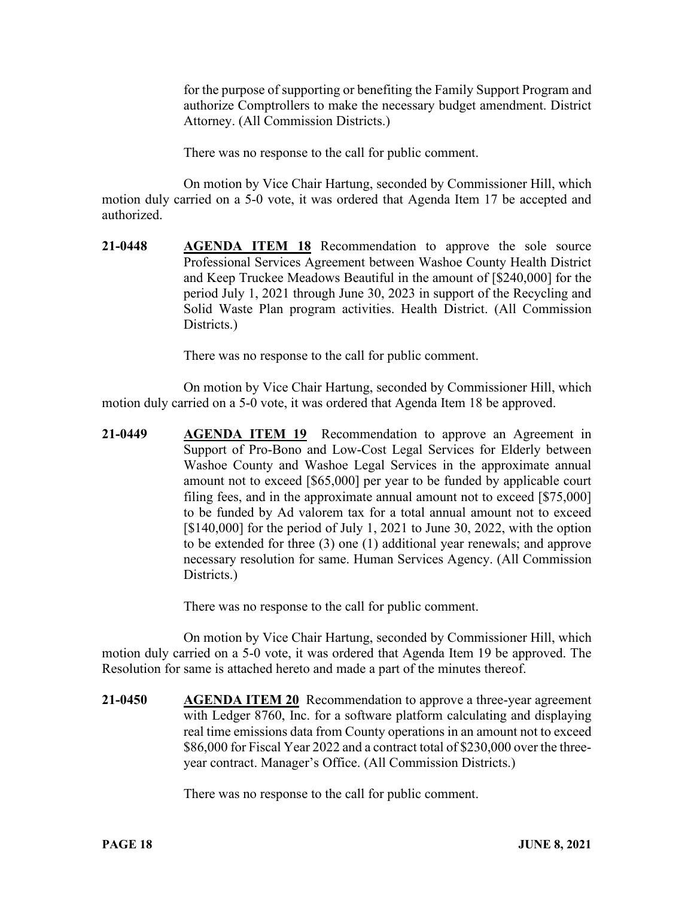for the purpose of supporting or benefiting the Family Support Program and authorize Comptrollers to make the necessary budget amendment. District Attorney. (All Commission Districts.)

There was no response to the call for public comment.

On motion by Vice Chair Hartung, seconded by Commissioner Hill, which motion duly carried on a 5-0 vote, it was ordered that Agenda Item 17 be accepted and authorized.

**21-0448 AGENDA ITEM 18** Recommendation to approve the sole source Professional Services Agreement between Washoe County Health District and Keep Truckee Meadows Beautiful in the amount of [\$240,000] for the period July 1, 2021 through June 30, 2023 in support of the Recycling and Solid Waste Plan program activities. Health District. (All Commission Districts.)

There was no response to the call for public comment.

On motion by Vice Chair Hartung, seconded by Commissioner Hill, which motion duly carried on a 5-0 vote, it was ordered that Agenda Item 18 be approved.

**21-0449 AGENDA ITEM 19** Recommendation to approve an Agreement in Support of Pro-Bono and Low-Cost Legal Services for Elderly between Washoe County and Washoe Legal Services in the approximate annual amount not to exceed [\$65,000] per year to be funded by applicable court filing fees, and in the approximate annual amount not to exceed [\$75,000] to be funded by Ad valorem tax for a total annual amount not to exceed [\$140,000] for the period of July 1, 2021 to June 30, 2022, with the option to be extended for three (3) one (1) additional year renewals; and approve necessary resolution for same. Human Services Agency. (All Commission Districts.)

There was no response to the call for public comment.

On motion by Vice Chair Hartung, seconded by Commissioner Hill, which motion duly carried on a 5-0 vote, it was ordered that Agenda Item 19 be approved. The Resolution for same is attached hereto and made a part of the minutes thereof.

**21-0450 AGENDA ITEM 20** Recommendation to approve a three-year agreement with Ledger 8760, Inc. for a software platform calculating and displaying real time emissions data from County operations in an amount not to exceed \$86,000 for Fiscal Year 2022 and a contract total of \$230,000 over the threeyear contract. Manager's Office. (All Commission Districts.)

There was no response to the call for public comment.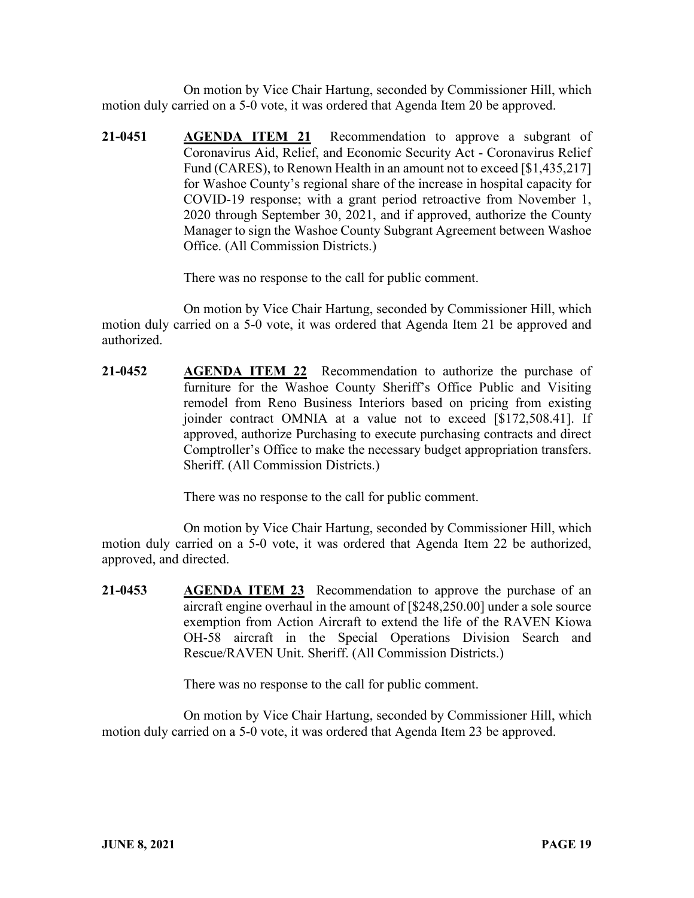On motion by Vice Chair Hartung, seconded by Commissioner Hill, which motion duly carried on a 5-0 vote, it was ordered that Agenda Item 20 be approved.

**21-0451 AGENDA ITEM 21** Recommendation to approve a subgrant of Coronavirus Aid, Relief, and Economic Security Act - Coronavirus Relief Fund (CARES), to Renown Health in an amount not to exceed [\$1,435,217] for Washoe County's regional share of the increase in hospital capacity for COVID-19 response; with a grant period retroactive from November 1, 2020 through September 30, 2021, and if approved, authorize the County Manager to sign the Washoe County Subgrant Agreement between Washoe Office. (All Commission Districts.)

There was no response to the call for public comment.

On motion by Vice Chair Hartung, seconded by Commissioner Hill, which motion duly carried on a 5-0 vote, it was ordered that Agenda Item 21 be approved and authorized.

**21-0452 AGENDA ITEM 22** Recommendation to authorize the purchase of furniture for the Washoe County Sheriff's Office Public and Visiting remodel from Reno Business Interiors based on pricing from existing joinder contract OMNIA at a value not to exceed [\$172,508.41]. If approved, authorize Purchasing to execute purchasing contracts and direct Comptroller's Office to make the necessary budget appropriation transfers. Sheriff. (All Commission Districts.)

There was no response to the call for public comment.

On motion by Vice Chair Hartung, seconded by Commissioner Hill, which motion duly carried on a 5-0 vote, it was ordered that Agenda Item 22 be authorized, approved, and directed.

**21-0453 AGENDA ITEM 23** Recommendation to approve the purchase of an aircraft engine overhaul in the amount of [\$248,250.00] under a sole source exemption from Action Aircraft to extend the life of the RAVEN Kiowa OH-58 aircraft in the Special Operations Division Search and Rescue/RAVEN Unit. Sheriff. (All Commission Districts.)

There was no response to the call for public comment.

On motion by Vice Chair Hartung, seconded by Commissioner Hill, which motion duly carried on a 5-0 vote, it was ordered that Agenda Item 23 be approved.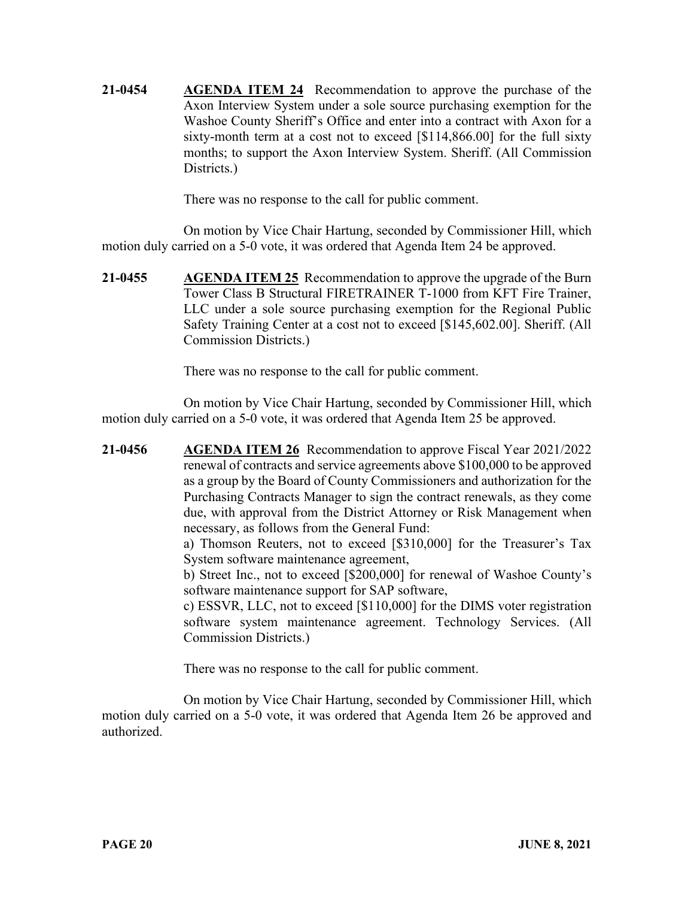**21-0454 AGENDA ITEM 24** Recommendation to approve the purchase of the Axon Interview System under a sole source purchasing exemption for the Washoe County Sheriff's Office and enter into a contract with Axon for a sixty-month term at a cost not to exceed [\$114,866.00] for the full sixty months; to support the Axon Interview System. Sheriff. (All Commission Districts.)

There was no response to the call for public comment.

On motion by Vice Chair Hartung, seconded by Commissioner Hill, which motion duly carried on a 5-0 vote, it was ordered that Agenda Item 24 be approved.

**21-0455 AGENDA ITEM 25** Recommendation to approve the upgrade of the Burn Tower Class B Structural FIRETRAINER T-1000 from KFT Fire Trainer, LLC under a sole source purchasing exemption for the Regional Public Safety Training Center at a cost not to exceed [\$145,602.00]. Sheriff. (All Commission Districts.)

There was no response to the call for public comment.

On motion by Vice Chair Hartung, seconded by Commissioner Hill, which motion duly carried on a 5-0 vote, it was ordered that Agenda Item 25 be approved.

**21-0456 AGENDA ITEM 26** Recommendation to approve Fiscal Year 2021/2022 renewal of contracts and service agreements above \$100,000 to be approved as a group by the Board of County Commissioners and authorization for the Purchasing Contracts Manager to sign the contract renewals, as they come due, with approval from the District Attorney or Risk Management when necessary, as follows from the General Fund:

a) Thomson Reuters, not to exceed [\$310,000] for the Treasurer's Tax System software maintenance agreement,

b) Street Inc., not to exceed [\$200,000] for renewal of Washoe County's software maintenance support for SAP software,

c) ESSVR, LLC, not to exceed [\$110,000] for the DIMS voter registration software system maintenance agreement. Technology Services. (All Commission Districts.)

There was no response to the call for public comment.

On motion by Vice Chair Hartung, seconded by Commissioner Hill, which motion duly carried on a 5-0 vote, it was ordered that Agenda Item 26 be approved and authorized.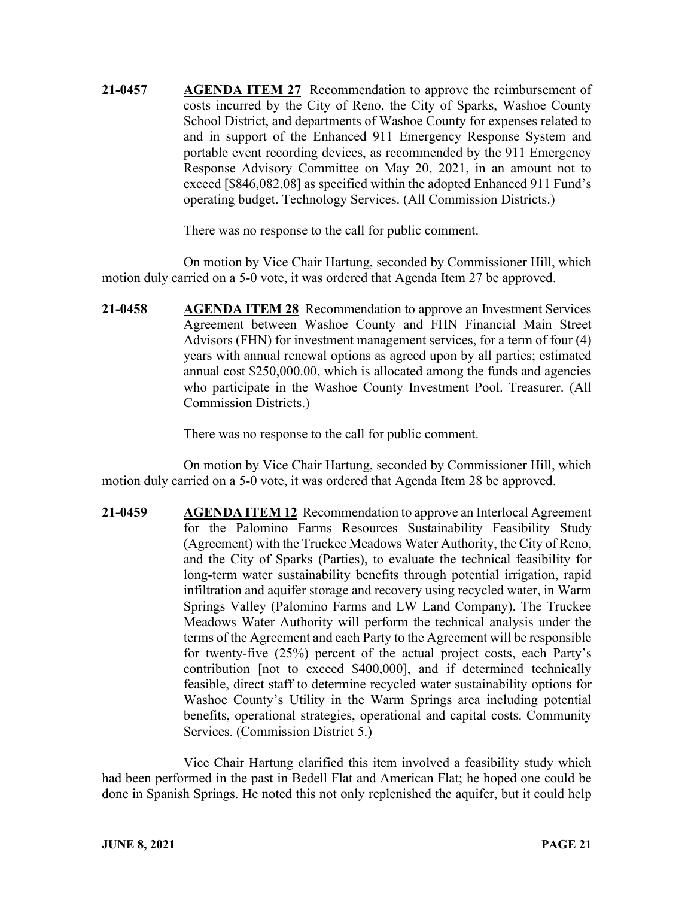**21-0457 AGENDA ITEM 27** Recommendation to approve the reimbursement of costs incurred by the City of Reno, the City of Sparks, Washoe County School District, and departments of Washoe County for expenses related to and in support of the Enhanced 911 Emergency Response System and portable event recording devices, as recommended by the 911 Emergency Response Advisory Committee on May 20, 2021, in an amount not to exceed [\$846,082.08] as specified within the adopted Enhanced 911 Fund's operating budget. Technology Services. (All Commission Districts.)

There was no response to the call for public comment.

On motion by Vice Chair Hartung, seconded by Commissioner Hill, which motion duly carried on a 5-0 vote, it was ordered that Agenda Item 27 be approved.

**21-0458 AGENDA ITEM 28** Recommendation to approve an Investment Services Agreement between Washoe County and FHN Financial Main Street Advisors (FHN) for investment management services, for a term of four (4) years with annual renewal options as agreed upon by all parties; estimated annual cost \$250,000.00, which is allocated among the funds and agencies who participate in the Washoe County Investment Pool. Treasurer. (All Commission Districts.)

There was no response to the call for public comment.

On motion by Vice Chair Hartung, seconded by Commissioner Hill, which motion duly carried on a 5-0 vote, it was ordered that Agenda Item 28 be approved.

**21-0459 AGENDA ITEM 12** Recommendation to approve an Interlocal Agreement for the Palomino Farms Resources Sustainability Feasibility Study (Agreement) with the Truckee Meadows Water Authority, the City of Reno, and the City of Sparks (Parties), to evaluate the technical feasibility for long-term water sustainability benefits through potential irrigation, rapid infiltration and aquifer storage and recovery using recycled water, in Warm Springs Valley (Palomino Farms and LW Land Company). The Truckee Meadows Water Authority will perform the technical analysis under the terms of the Agreement and each Party to the Agreement will be responsible for twenty-five (25%) percent of the actual project costs, each Party's contribution [not to exceed \$400,000], and if determined technically feasible, direct staff to determine recycled water sustainability options for Washoe County's Utility in the Warm Springs area including potential benefits, operational strategies, operational and capital costs. Community Services. (Commission District 5.)

Vice Chair Hartung clarified this item involved a feasibility study which had been performed in the past in Bedell Flat and American Flat; he hoped one could be done in Spanish Springs. He noted this not only replenished the aquifer, but it could help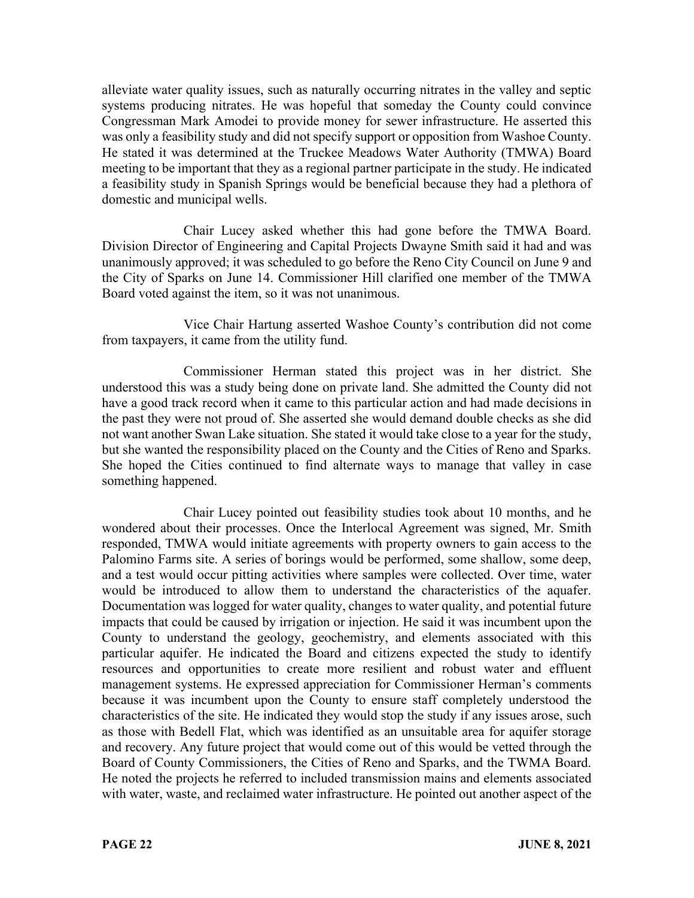alleviate water quality issues, such as naturally occurring nitrates in the valley and septic systems producing nitrates. He was hopeful that someday the County could convince Congressman Mark Amodei to provide money for sewer infrastructure. He asserted this was only a feasibility study and did not specify support or opposition from Washoe County. He stated it was determined at the Truckee Meadows Water Authority (TMWA) Board meeting to be important that they as a regional partner participate in the study. He indicated a feasibility study in Spanish Springs would be beneficial because they had a plethora of domestic and municipal wells.

Chair Lucey asked whether this had gone before the TMWA Board. Division Director of Engineering and Capital Projects Dwayne Smith said it had and was unanimously approved; it was scheduled to go before the Reno City Council on June 9 and the City of Sparks on June 14. Commissioner Hill clarified one member of the TMWA Board voted against the item, so it was not unanimous.

Vice Chair Hartung asserted Washoe County's contribution did not come from taxpayers, it came from the utility fund.

Commissioner Herman stated this project was in her district. She understood this was a study being done on private land. She admitted the County did not have a good track record when it came to this particular action and had made decisions in the past they were not proud of. She asserted she would demand double checks as she did not want another Swan Lake situation. She stated it would take close to a year for the study, but she wanted the responsibility placed on the County and the Cities of Reno and Sparks. She hoped the Cities continued to find alternate ways to manage that valley in case something happened.

Chair Lucey pointed out feasibility studies took about 10 months, and he wondered about their processes. Once the Interlocal Agreement was signed, Mr. Smith responded, TMWA would initiate agreements with property owners to gain access to the Palomino Farms site. A series of borings would be performed, some shallow, some deep, and a test would occur pitting activities where samples were collected. Over time, water would be introduced to allow them to understand the characteristics of the aquafer. Documentation was logged for water quality, changes to water quality, and potential future impacts that could be caused by irrigation or injection. He said it was incumbent upon the County to understand the geology, geochemistry, and elements associated with this particular aquifer. He indicated the Board and citizens expected the study to identify resources and opportunities to create more resilient and robust water and effluent management systems. He expressed appreciation for Commissioner Herman's comments because it was incumbent upon the County to ensure staff completely understood the characteristics of the site. He indicated they would stop the study if any issues arose, such as those with Bedell Flat, which was identified as an unsuitable area for aquifer storage and recovery. Any future project that would come out of this would be vetted through the Board of County Commissioners, the Cities of Reno and Sparks, and the TWMA Board. He noted the projects he referred to included transmission mains and elements associated with water, waste, and reclaimed water infrastructure. He pointed out another aspect of the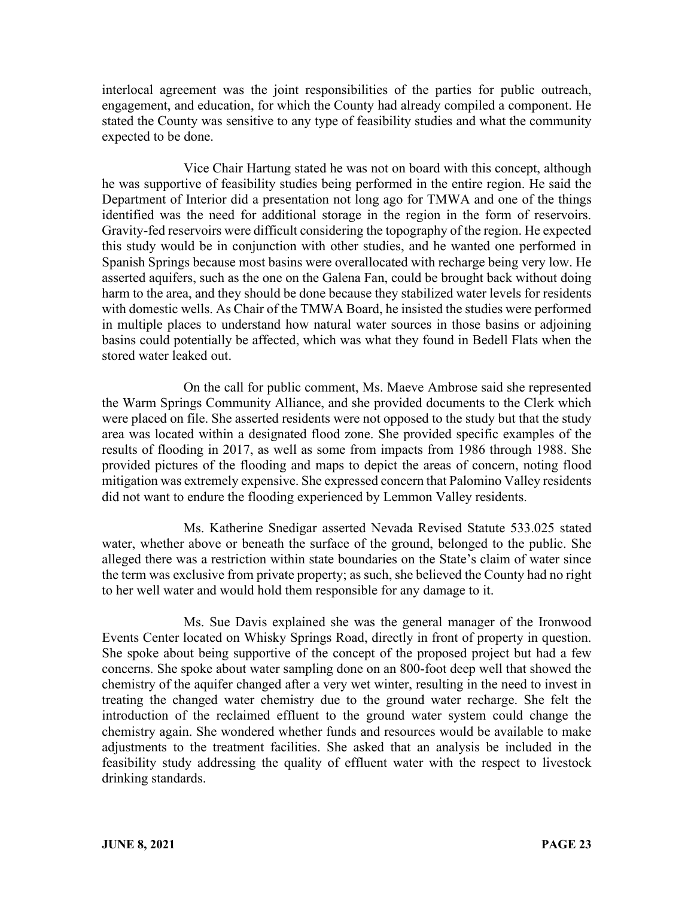interlocal agreement was the joint responsibilities of the parties for public outreach, engagement, and education, for which the County had already compiled a component. He stated the County was sensitive to any type of feasibility studies and what the community expected to be done.

Vice Chair Hartung stated he was not on board with this concept, although he was supportive of feasibility studies being performed in the entire region. He said the Department of Interior did a presentation not long ago for TMWA and one of the things identified was the need for additional storage in the region in the form of reservoirs. Gravity-fed reservoirs were difficult considering the topography of the region. He expected this study would be in conjunction with other studies, and he wanted one performed in Spanish Springs because most basins were overallocated with recharge being very low. He asserted aquifers, such as the one on the Galena Fan, could be brought back without doing harm to the area, and they should be done because they stabilized water levels for residents with domestic wells. As Chair of the TMWA Board, he insisted the studies were performed in multiple places to understand how natural water sources in those basins or adjoining basins could potentially be affected, which was what they found in Bedell Flats when the stored water leaked out.

On the call for public comment, Ms. Maeve Ambrose said she represented the Warm Springs Community Alliance, and she provided documents to the Clerk which were placed on file. She asserted residents were not opposed to the study but that the study area was located within a designated flood zone. She provided specific examples of the results of flooding in 2017, as well as some from impacts from 1986 through 1988. She provided pictures of the flooding and maps to depict the areas of concern, noting flood mitigation was extremely expensive. She expressed concern that Palomino Valley residents did not want to endure the flooding experienced by Lemmon Valley residents.

Ms. Katherine Snedigar asserted Nevada Revised Statute 533.025 stated water, whether above or beneath the surface of the ground, belonged to the public. She alleged there was a restriction within state boundaries on the State's claim of water since the term was exclusive from private property; as such, she believed the County had no right to her well water and would hold them responsible for any damage to it.

Ms. Sue Davis explained she was the general manager of the Ironwood Events Center located on Whisky Springs Road, directly in front of property in question. She spoke about being supportive of the concept of the proposed project but had a few concerns. She spoke about water sampling done on an 800-foot deep well that showed the chemistry of the aquifer changed after a very wet winter, resulting in the need to invest in treating the changed water chemistry due to the ground water recharge. She felt the introduction of the reclaimed effluent to the ground water system could change the chemistry again. She wondered whether funds and resources would be available to make adjustments to the treatment facilities. She asked that an analysis be included in the feasibility study addressing the quality of effluent water with the respect to livestock drinking standards.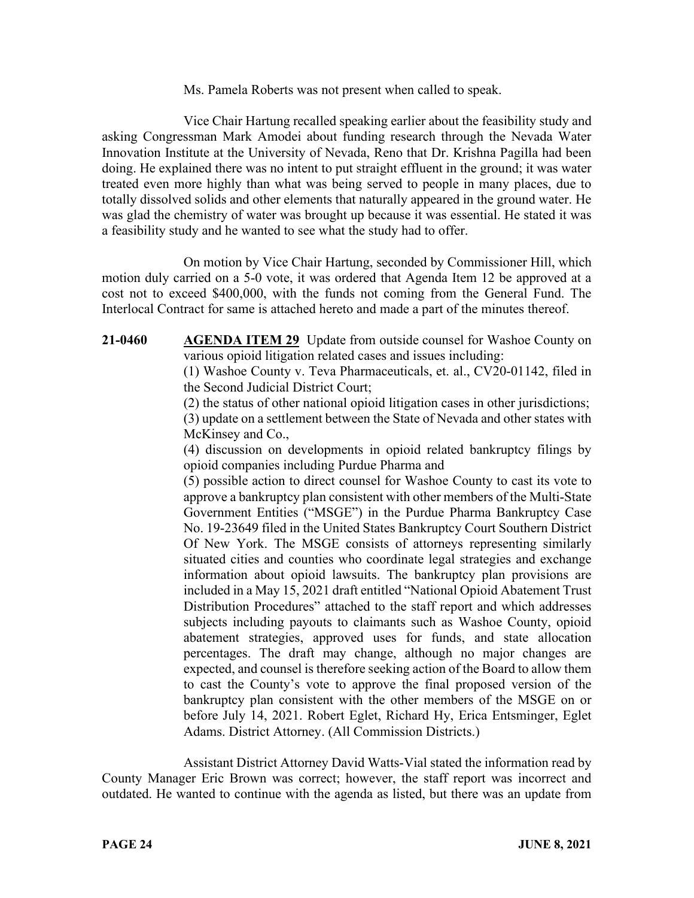Ms. Pamela Roberts was not present when called to speak.

Vice Chair Hartung recalled speaking earlier about the feasibility study and asking Congressman Mark Amodei about funding research through the Nevada Water Innovation Institute at the University of Nevada, Reno that Dr. Krishna Pagilla had been doing. He explained there was no intent to put straight effluent in the ground; it was water treated even more highly than what was being served to people in many places, due to totally dissolved solids and other elements that naturally appeared in the ground water. He was glad the chemistry of water was brought up because it was essential. He stated it was a feasibility study and he wanted to see what the study had to offer.

On motion by Vice Chair Hartung, seconded by Commissioner Hill, which motion duly carried on a 5-0 vote, it was ordered that Agenda Item 12 be approved at a cost not to exceed \$400,000, with the funds not coming from the General Fund. The Interlocal Contract for same is attached hereto and made a part of the minutes thereof.

**21-0460 AGENDA ITEM 29** Update from outside counsel for Washoe County on various opioid litigation related cases and issues including:

> (1) Washoe County v. Teva Pharmaceuticals, et. al., CV20-01142, filed in the Second Judicial District Court;

> (2) the status of other national opioid litigation cases in other jurisdictions; (3) update on a settlement between the State of Nevada and other states with McKinsey and Co.,

> (4) discussion on developments in opioid related bankruptcy filings by opioid companies including Purdue Pharma and

> (5) possible action to direct counsel for Washoe County to cast its vote to approve a bankruptcy plan consistent with other members of the Multi-State Government Entities ("MSGE") in the Purdue Pharma Bankruptcy Case No. 19-23649 filed in the United States Bankruptcy Court Southern District Of New York. The MSGE consists of attorneys representing similarly situated cities and counties who coordinate legal strategies and exchange information about opioid lawsuits. The bankruptcy plan provisions are included in a May 15, 2021 draft entitled "National Opioid Abatement Trust Distribution Procedures" attached to the staff report and which addresses subjects including payouts to claimants such as Washoe County, opioid abatement strategies, approved uses for funds, and state allocation percentages. The draft may change, although no major changes are expected, and counsel is therefore seeking action of the Board to allow them to cast the County's vote to approve the final proposed version of the bankruptcy plan consistent with the other members of the MSGE on or before July 14, 2021. Robert Eglet, Richard Hy, Erica Entsminger, Eglet Adams. District Attorney. (All Commission Districts.)

Assistant District Attorney David Watts-Vial stated the information read by County Manager Eric Brown was correct; however, the staff report was incorrect and outdated. He wanted to continue with the agenda as listed, but there was an update from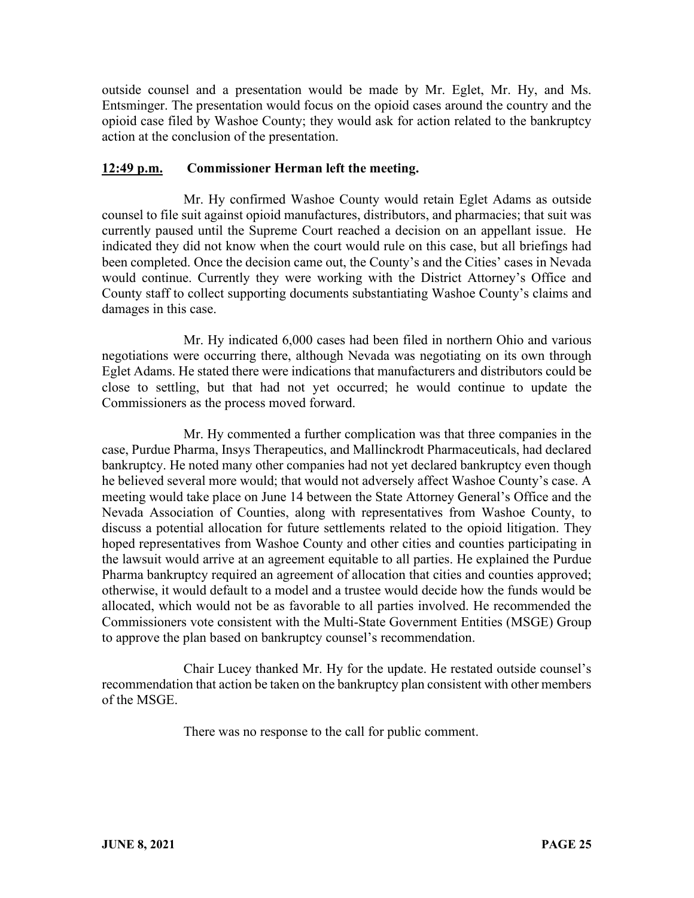outside counsel and a presentation would be made by Mr. Eglet, Mr. Hy, and Ms. Entsminger. The presentation would focus on the opioid cases around the country and the opioid case filed by Washoe County; they would ask for action related to the bankruptcy action at the conclusion of the presentation.

### **12:49 p.m. Commissioner Herman left the meeting.**

Mr. Hy confirmed Washoe County would retain Eglet Adams as outside counsel to file suit against opioid manufactures, distributors, and pharmacies; that suit was currently paused until the Supreme Court reached a decision on an appellant issue. He indicated they did not know when the court would rule on this case, but all briefings had been completed. Once the decision came out, the County's and the Cities' cases in Nevada would continue. Currently they were working with the District Attorney's Office and County staff to collect supporting documents substantiating Washoe County's claims and damages in this case.

Mr. Hy indicated 6,000 cases had been filed in northern Ohio and various negotiations were occurring there, although Nevada was negotiating on its own through Eglet Adams. He stated there were indications that manufacturers and distributors could be close to settling, but that had not yet occurred; he would continue to update the Commissioners as the process moved forward.

Mr. Hy commented a further complication was that three companies in the case, Purdue Pharma, Insys Therapeutics, and Mallinckrodt Pharmaceuticals, had declared bankruptcy. He noted many other companies had not yet declared bankruptcy even though he believed several more would; that would not adversely affect Washoe County's case. A meeting would take place on June 14 between the State Attorney General's Office and the Nevada Association of Counties, along with representatives from Washoe County, to discuss a potential allocation for future settlements related to the opioid litigation. They hoped representatives from Washoe County and other cities and counties participating in the lawsuit would arrive at an agreement equitable to all parties. He explained the Purdue Pharma bankruptcy required an agreement of allocation that cities and counties approved; otherwise, it would default to a model and a trustee would decide how the funds would be allocated, which would not be as favorable to all parties involved. He recommended the Commissioners vote consistent with the Multi-State Government Entities (MSGE) Group to approve the plan based on bankruptcy counsel's recommendation.

Chair Lucey thanked Mr. Hy for the update. He restated outside counsel's recommendation that action be taken on the bankruptcy plan consistent with other members of the MSGE.

There was no response to the call for public comment.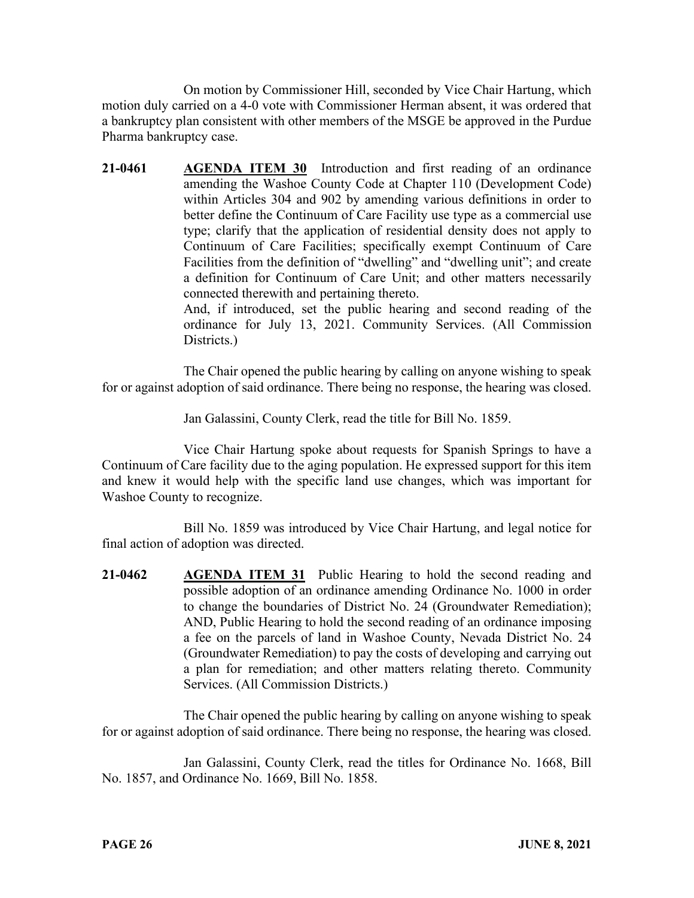On motion by Commissioner Hill, seconded by Vice Chair Hartung, which motion duly carried on a 4-0 vote with Commissioner Herman absent, it was ordered that a bankruptcy plan consistent with other members of the MSGE be approved in the Purdue Pharma bankruptcy case.

**21-0461 AGENDA ITEM 30** Introduction and first reading of an ordinance amending the Washoe County Code at Chapter 110 (Development Code) within Articles 304 and 902 by amending various definitions in order to better define the Continuum of Care Facility use type as a commercial use type; clarify that the application of residential density does not apply to Continuum of Care Facilities; specifically exempt Continuum of Care Facilities from the definition of "dwelling" and "dwelling unit"; and create a definition for Continuum of Care Unit; and other matters necessarily connected therewith and pertaining thereto. And, if introduced, set the public hearing and second reading of the

ordinance for July 13, 2021. Community Services. (All Commission Districts.)

The Chair opened the public hearing by calling on anyone wishing to speak for or against adoption of said ordinance. There being no response, the hearing was closed.

Jan Galassini, County Clerk, read the title for Bill No. 1859.

Vice Chair Hartung spoke about requests for Spanish Springs to have a Continuum of Care facility due to the aging population. He expressed support for this item and knew it would help with the specific land use changes, which was important for Washoe County to recognize.

Bill No. 1859 was introduced by Vice Chair Hartung, and legal notice for final action of adoption was directed.

**21-0462 AGENDA ITEM 31** Public Hearing to hold the second reading and possible adoption of an ordinance amending Ordinance No. 1000 in order to change the boundaries of District No. 24 (Groundwater Remediation); AND, Public Hearing to hold the second reading of an ordinance imposing a fee on the parcels of land in Washoe County, Nevada District No. 24 (Groundwater Remediation) to pay the costs of developing and carrying out a plan for remediation; and other matters relating thereto. Community Services. (All Commission Districts.)

The Chair opened the public hearing by calling on anyone wishing to speak for or against adoption of said ordinance. There being no response, the hearing was closed.

Jan Galassini, County Clerk, read the titles for Ordinance No. 1668, Bill No. 1857, and Ordinance No. 1669, Bill No. 1858.